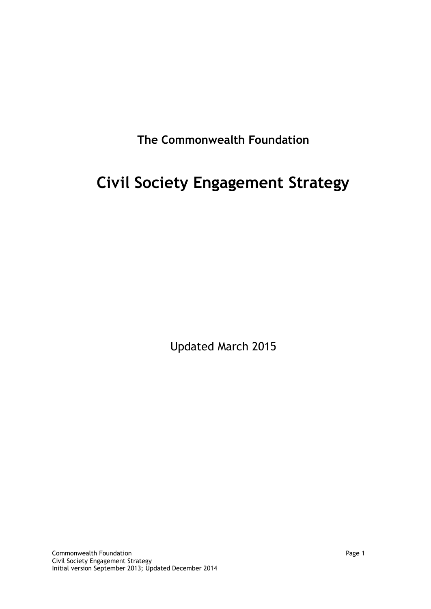**The Commonwealth Foundation**

# **Civil Society Engagement Strategy**

Updated March 2015

**Commonwealth Foundation Page 1** Civil Society Engagement Strategy Initial version September 2013; Updated December 2014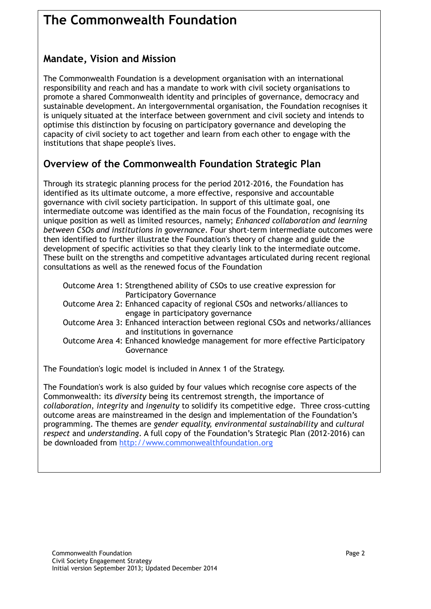## **The Commonwealth Foundation**

## **Mandate, Vision and Mission**

The Commonwealth Foundation is a development organisation with an international responsibility and reach and has a mandate to work with civil society organisations to promote a shared Commonwealth identity and principles of governance, democracy and sustainable development. An intergovernmental organisation, the Foundation recognises it is uniquely situated at the interface between government and civil society and intends to optimise this distinction by focusing on participatory governance and developing the capacity of civil society to act together and learn from each other to engage with the institutions that shape people's lives.

## **Overview of the Commonwealth Foundation Strategic Plan**

Through its strategic planning process for the period 2012-2016, the Foundation has identified as its ultimate outcome, a more effective, responsive and accountable governance with civil society participation. In support of this ultimate goal, one intermediate outcome was identified as the main focus of the Foundation, recognising its unique position as well as limited resources, namely; *Enhanced collaboration and learning between CSOs and institutions in governance*. Four short-term intermediate outcomes were then identified to further illustrate the Foundation's theory of change and guide the development of specific activities so that they clearly link to the intermediate outcome. These built on the strengths and competitive advantages articulated during recent regional consultations as well as the renewed focus of the Foundation

| Outcome Area 1: Strengthened ability of CSOs to use creative expression for       |
|-----------------------------------------------------------------------------------|
| <b>Participatory Governance</b>                                                   |
| Outcome Area 2: Enhanced capacity of regional CSOs and networks/alliances to      |
| engage in participatory governance                                                |
| Outcome Area 3: Enhanced interaction between regional CSOs and networks/alliances |
| and institutions in governance                                                    |
| Outcome Area 4: Enhanced knowledge management for more effective Participatory    |
| Governance                                                                        |

The Foundation's logic model is included in Annex 1 of the Strategy.

The Foundation's work is also guided by four values which recognise core aspects of the Commonwealth: its *diversity* being its centremost strength, the importance of *collaboration*, *integrity* and *ingenuity* to solidify its competitive edge. Three cross-cutting outcome areas are mainstreamed in the design and implementation of the Foundation's programming. The themes are *gender equality, environmental sustainability* and *cultural respect* and *understanding*. A full copy of the Foundation's Strategic Plan (2012-2016) can be downloaded from http://www.commonwealthfoundation.org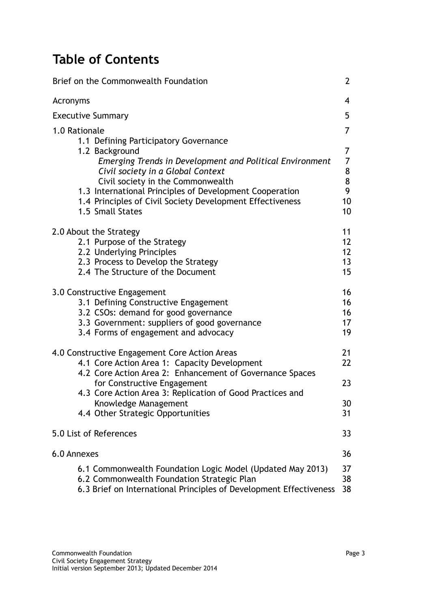## **Table of Contents**

| Brief on the Commonwealth Foundation                                                                                                                                                                                                                                                                                                                       | $\overline{2}$                                                                                  |
|------------------------------------------------------------------------------------------------------------------------------------------------------------------------------------------------------------------------------------------------------------------------------------------------------------------------------------------------------------|-------------------------------------------------------------------------------------------------|
| Acronyms                                                                                                                                                                                                                                                                                                                                                   | $\overline{\mathcal{A}}$                                                                        |
| <b>Executive Summary</b>                                                                                                                                                                                                                                                                                                                                   | 5                                                                                               |
| 1.0 Rationale<br>1.1 Defining Participatory Governance<br>1.2 Background<br>Emerging Trends in Development and Political Environment<br>Civil society in a Global Context<br>Civil society in the Commonwealth<br>1.3 International Principles of Development Cooperation<br>1.4 Principles of Civil Society Development Effectiveness<br>1.5 Small States | $\overline{7}$<br>7<br>$\overline{7}$<br>$\begin{array}{c} 8 \\ 8 \end{array}$<br>9<br>10<br>10 |
| 2.0 About the Strategy<br>2.1 Purpose of the Strategy<br>2.2 Underlying Principles<br>2.3 Process to Develop the Strategy<br>2.4 The Structure of the Document                                                                                                                                                                                             | 11<br>12<br>12<br>13<br>15                                                                      |
| 3.0 Constructive Engagement<br>3.1 Defining Constructive Engagement<br>3.2 CSOs: demand for good governance<br>3.3 Government: suppliers of good governance<br>3.4 Forms of engagement and advocacy                                                                                                                                                        | 16<br>16<br>16<br>17<br>19                                                                      |
| 4.0 Constructive Engagement Core Action Areas<br>4.1 Core Action Area 1: Capacity Development<br>4.2 Core Action Area 2: Enhancement of Governance Spaces<br>for Constructive Engagement<br>4.3 Core Action Area 3: Replication of Good Practices and<br>Knowledge Management                                                                              | 21<br>22<br>23<br>30                                                                            |
| 4.4 Other Strategic Opportunities                                                                                                                                                                                                                                                                                                                          | 31                                                                                              |
| 5.0 List of References                                                                                                                                                                                                                                                                                                                                     | 33                                                                                              |
| 6.0 Annexes                                                                                                                                                                                                                                                                                                                                                | 36                                                                                              |
| 6.1 Commonwealth Foundation Logic Model (Updated May 2013)<br>6.2 Commonwealth Foundation Strategic Plan<br>6.3 Brief on International Principles of Development Effectiveness                                                                                                                                                                             | 37<br>38<br>38                                                                                  |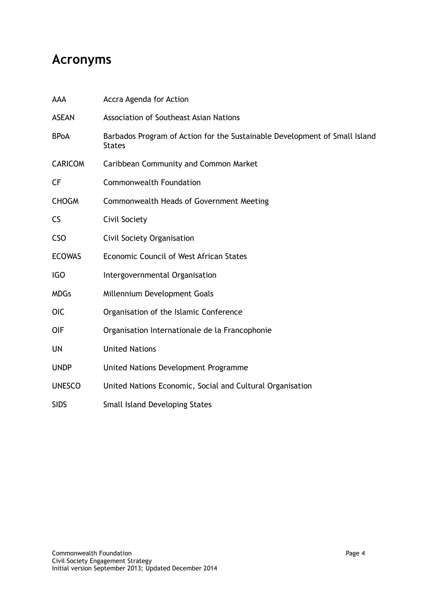## **Acronyms**

| AAA            | Accra Agenda for Action                                                                     |
|----------------|---------------------------------------------------------------------------------------------|
| <b>ASEAN</b>   | <b>Association of Southeast Asian Nations</b>                                               |
| <b>BPoA</b>    | Barbados Program of Action for the Sustainable Development of Small Island<br><b>States</b> |
| <b>CARICOM</b> | Caribbean Community and Common Market                                                       |
| <b>CF</b>      | <b>Commonwealth Foundation</b>                                                              |
| <b>CHOGM</b>   | Commonwealth Heads of Government Meeting                                                    |
| <b>CS</b>      | Civil Society                                                                               |
| <b>CSO</b>     | Civil Society Organisation                                                                  |
| <b>ECOWAS</b>  | Economic Council of West African States                                                     |
| IGO            | Intergovernmental Organisation                                                              |
| <b>MDGs</b>    | Millennium Development Goals                                                                |
| <b>OIC</b>     | Organisation of the Islamic Conference                                                      |
| <b>OIF</b>     | Organisation Internationale de la Francophonie                                              |
| <b>UN</b>      | <b>United Nations</b>                                                                       |
| <b>UNDP</b>    | United Nations Development Programme                                                        |
| <b>UNESCO</b>  | United Nations Economic, Social and Cultural Organisation                                   |
| <b>SIDS</b>    | <b>Small Island Developing States</b>                                                       |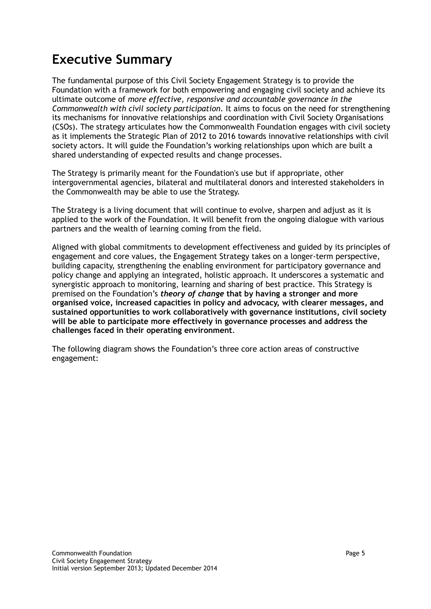## **Executive Summary**

The fundamental purpose of this Civil Society Engagement Strategy is to provide the Foundation with a framework for both empowering and engaging civil society and achieve its ultimate outcome of *more effective, responsive and accountable governance in the Commonwealth with civil society participation*. It aims to focus on the need for strengthening its mechanisms for innovative relationships and coordination with Civil Society Organisations (CSOs). The strategy articulates how the Commonwealth Foundation engages with civil society as it implements the Strategic Plan of 2012 to 2016 towards innovative relationships with civil society actors. It will guide the Foundation's working relationships upon which are built a shared understanding of expected results and change processes.

The Strategy is primarily meant for the Foundation's use but if appropriate, other intergovernmental agencies, bilateral and multilateral donors and interested stakeholders in the Commonwealth may be able to use the Strategy.

The Strategy is a living document that will continue to evolve, sharpen and adjust as it is applied to the work of the Foundation. It will benefit from the ongoing dialogue with various partners and the wealth of learning coming from the field.

Aligned with global commitments to development effectiveness and guided by its principles of engagement and core values, the Engagement Strategy takes on a longer-term perspective, building capacity, strengthening the enabling environment for participatory governance and policy change and applying an integrated, holistic approach. It underscores a systematic and synergistic approach to monitoring, learning and sharing of best practice. This Strategy is premised on the Foundation's *theory of change* **that by having a stronger and more organised voice, increased capacities in policy and advocacy, with clearer messages, and sustained opportunities to work collaboratively with governance institutions, civil society will be able to participate more effectively in governance processes and address the challenges faced in their operating environment**.

The following diagram shows the Foundation's three core action areas of constructive engagement: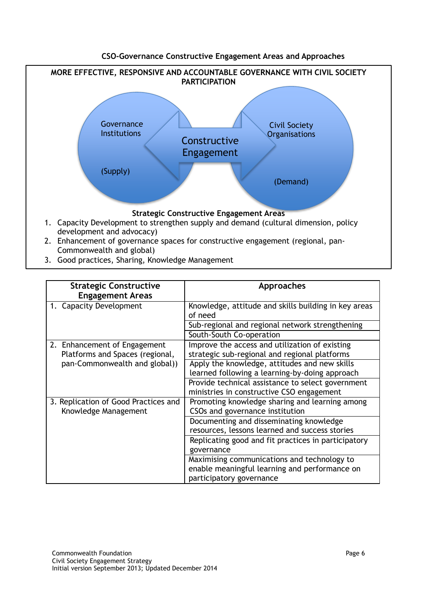#### **CSO-Governance Constructive Engagement Areas and Approaches**



3. Good practices, Sharing, Knowledge Management

| <b>Strategic Constructive</b>                                   | Approaches                                                                                                               |
|-----------------------------------------------------------------|--------------------------------------------------------------------------------------------------------------------------|
| <b>Engagement Areas</b>                                         |                                                                                                                          |
| 1. Capacity Development                                         | Knowledge, attitude and skills building in key areas<br>of need                                                          |
|                                                                 | Sub-regional and regional network strengthening                                                                          |
|                                                                 | South-South Co-operation                                                                                                 |
| 2. Enhancement of Engagement<br>Platforms and Spaces (regional, | Improve the access and utilization of existing<br>strategic sub-regional and regional platforms                          |
| pan-Commonwealth and global))                                   | Apply the knowledge, attitudes and new skills<br>learned following a learning-by-doing approach                          |
|                                                                 | Provide technical assistance to select government<br>ministries in constructive CSO engagement                           |
| 3. Replication of Good Practices and<br>Knowledge Management    | Promoting knowledge sharing and learning among<br>CSOs and governance institution                                        |
|                                                                 | Documenting and disseminating knowledge<br>resources, lessons learned and success stories                                |
|                                                                 | Replicating good and fit practices in participatory<br>governance                                                        |
|                                                                 | Maximising communications and technology to<br>enable meaningful learning and performance on<br>participatory governance |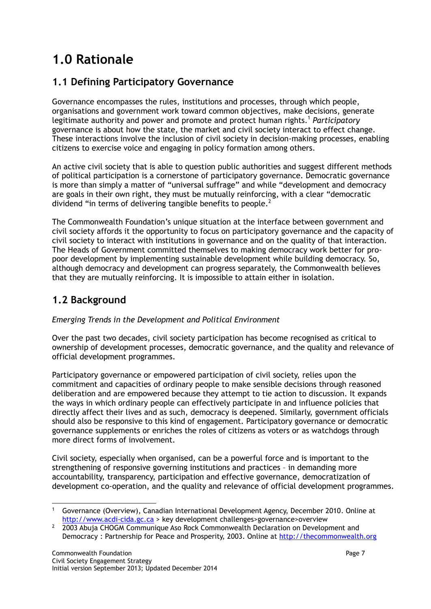## **1.0 Rationale**

## **1.1 Defining Participatory Governance**

Governance encompasses the rules, institutions and processes, through which people, organisations and government work toward common objectives, make decisions, generate legitimate authority and power and promote and protect human rights.<sup>1</sup> Participatory governance is about how the state, the market and civil society interact to effect change. These interactions involve the inclusion of civil society in decision-making processes, enabling citizens to exercise voice and engaging in policy formation among others.

An active civil society that is able to question public authorities and suggest different methods of political participation is a cornerstone of participatory governance. Democratic governance is more than simply a matter of "universal suffrage" and while "development and democracy are goals in their own right, they must be mutually reinforcing, with a clear "democratic dividend "in terms of delivering tangible benefits to people.<sup>2</sup>

The Commonwealth Foundation's unique situation at the interface between government and civil society affords it the opportunity to focus on participatory governance and the capacity of civil society to interact with institutions in governance and on the quality of that interaction. The Heads of Government committed themselves to making democracy work better for propoor development by implementing sustainable development while building democracy. So, although democracy and development can progress separately, the Commonwealth believes that they are mutually reinforcing. It is impossible to attain either in isolation.

## **1.2 Background**

#### *Emerging Trends in the Development and Political Environment*

Over the past two decades, civil society participation has become recognised as critical to ownership of development processes, democratic governance, and the quality and relevance of official development programmes.

Participatory governance or empowered participation of civil society, relies upon the commitment and capacities of ordinary people to make sensible decisions through reasoned deliberation and are empowered because they attempt to tie action to discussion. It expands the ways in which ordinary people can effectively participate in and influence policies that directly affect their lives and as such, democracy is deepened. Similarly, government officials should also be responsive to this kind of engagement. Participatory governance or democratic governance supplements or enriches the roles of citizens as voters or as watchdogs through more direct forms of involvement.

Civil society, especially when organised, can be a powerful force and is important to the strengthening of responsive governing institutions and practices – in demanding more accountability, transparency, participation and effective governance, democratization of development co-operation, and the quality and relevance of official development programmes.

l <sup>1</sup> Governance (Overview), Canadian International Development Agency, December 2010. Online at [http://www.acdi-cida.gc.ca](http://www.acdi-cida.gc.ca/) > key development challenges>governance>overview

<sup>&</sup>lt;sup>2</sup> 2003 Abuja CHOGM Communique Aso Rock Commonwealth Declaration on Development and Democracy : Partnership for Peace and Prosperity, 2003. Online at http://thecommonwealth.org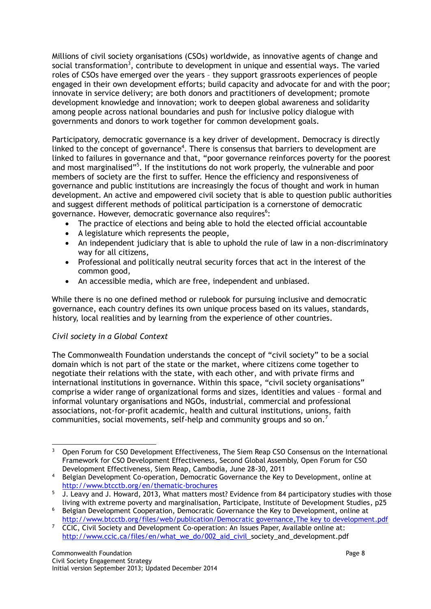Millions of civil society organisations (CSOs) worldwide, as innovative agents of change and social transformation<sup>3</sup>, contribute to development in unique and essential ways. The varied roles of CSOs have emerged over the years – they support grassroots experiences of people engaged in their own development efforts; build capacity and advocate for and with the poor; innovate in service delivery; are both donors and practitioners of development; promote development knowledge and innovation; work to deepen global awareness and solidarity among people across national boundaries and push for inclusive policy dialogue with governments and donors to work together for common development goals.

Participatory, democratic governance is a key driver of development. Democracy is directly linked to the concept of governance<sup>4</sup>. There is consensus that barriers to development are linked to failures in governance and that, "poor governance reinforces poverty for the poorest and most marginalised"<sup>5</sup>. If the institutions do not work properly, the vulnerable and poor members of society are the first to suffer. Hence the efficiency and responsiveness of governance and public institutions are increasingly the focus of thought and work in human development. An active and empowered civil society that is able to question public authorities and suggest different methods of political participation is a cornerstone of democratic governance. However, democratic governance also requires<sup>6</sup>:

- The practice of elections and being able to hold the elected official accountable
- A legislature which represents the people,
- An independent judiciary that is able to uphold the rule of law in a non-discriminatory way for all citizens,
- Professional and politically neutral security forces that act in the interest of the common good,
- An accessible media, which are free, independent and unbiased.

While there is no one defined method or rulebook for pursuing inclusive and democratic governance, each country defines its own unique process based on its values, standards, history, local realities and by learning from the experience of other countries.

#### *Civil society in a Global Context*

The Commonwealth Foundation understands the concept of "civil society" to be a social domain which is not part of the state or the market, where citizens come together to negotiate their relations with the state, with each other, and with private firms and international institutions in governance. Within this space, "civil society organisations" comprise a wider range of organizational forms and sizes, identities and values – formal and informal voluntary organisations and NGOs, industrial, commercial and professional associations, not-for-profit academic, health and cultural institutions, unions, faith communities, social movements, self-help and community groups and so on.<sup>7</sup>

 $\overline{a}$ <sup>3</sup> Open Forum for CSO Development Effectiveness, The Siem Reap CSO Consensus on the International Framework for CSO Development Effectiveness, Second Global Assembly, Open Forum for CSO Development Effectiveness, Siem Reap, Cambodia, June 28-30, 2011

<sup>4</sup> Belgian Development Co-operation, Democratic Governance the Key to Development, online at http://www.btcctb.org/en/thematic-brochures

<sup>&</sup>lt;sup>5</sup> J. Leavy and J. Howard, 2013, What matters most? Evidence from 84 participatory studies with those living with extreme poverty and marginalisation, Participate, Institute of Development Studies, p25

<sup>6</sup> Belgian Development Cooperation, Democratic Governance the Key to Development, online at <http://www.btcctb.org/>files/web/publication/Democratic governance,The key to development.pdf

<sup>7</sup> CCIC, Civil Society and Development Co-operation: An Issues Paper, Available online at: [http://www.ccic.ca/files/en/what\\_we\\_do/002\\_aid\\_civil\\_](http://www.ccic.ca/files/en/what_we_do/002_aid_civil)society\_and\_development.pdf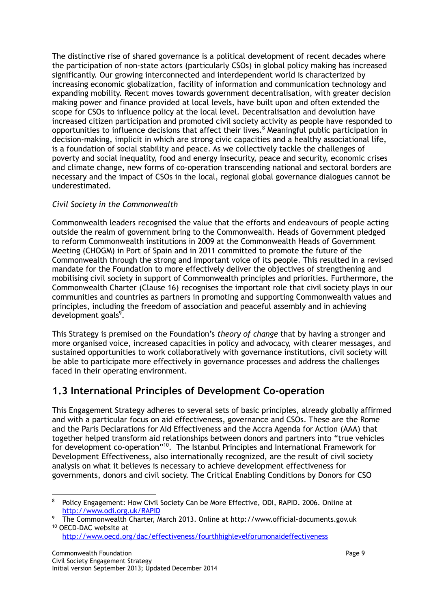The distinctive rise of shared governance is a political development of recent decades where the participation of non-state actors (particularly CSOs) in global policy making has increased significantly. Our growing interconnected and interdependent world is characterized by increasing economic globalization, facility of information and communication technology and expanding mobility. Recent moves towards government decentralisation, with greater decision making power and finance provided at local levels, have built upon and often extended the scope for CSOs to influence policy at the local level. Decentralisation and devolution have increased citizen participation and promoted civil society activity as people have responded to opportunities to influence decisions that affect their lives.<sup>8</sup> Meaningful public participation in decision-making, implicit in which are strong civic capacities and a healthy associational life, is a foundation of social stability and peace. As we collectively tackle the challenges of poverty and social inequality, food and energy insecurity, peace and security, economic crises and climate change, new forms of co-operation transcending national and sectoral borders are necessary and the impact of CSOs in the local, regional global governance dialogues cannot be underestimated.

#### *Civil Society in the Commonwealth*

Commonwealth leaders recognised the value that the efforts and endeavours of people acting outside the realm of government bring to the Commonwealth. Heads of Government pledged to reform Commonwealth institutions in 2009 at the Commonwealth Heads of Government Meeting (CHOGM) in Port of Spain and in 2011 committed to promote the future of the Commonwealth through the strong and important voice of its people. This resulted in a revised mandate for the Foundation to more effectively deliver the objectives of strengthening and mobilising civil society in support of Commonwealth principles and priorities. Furthermore, the Commonwealth Charter (Clause 16) recognises the important role that civil society plays in our communities and countries as partners in promoting and supporting Commonwealth values and principles, including the freedom of association and peaceful assembly and in achieving development goals<sup>9</sup>.

This Strategy is premised on the Foundation's *theory of change* that by having a stronger and more organised voice, increased capacities in policy and advocacy, with clearer messages, and sustained opportunities to work collaboratively with governance institutions, civil society will be able to participate more effectively in governance processes and address the challenges faced in their operating environment.

### **1.3 International Principles of Development Co-operation**

This Engagement Strategy adheres to several sets of basic principles, already globally affirmed and with a particular focus on aid effectiveness, governance and CSOs. These are the Rome and the Paris Declarations for Aid Effectiveness and the Accra Agenda for Action (AAA) that together helped transform aid relationships between donors and partners into "true vehicles for development co-operation"<sup>10</sup>. The Istanbul Principles and International Framework for Development Effectiveness, also internationally recognized, are the result of civil society analysis on what it believes is necessary to achieve development effectiveness for governments, donors and civil society. The Critical Enabling Conditions by Donors for CSO

l <sup>8</sup> Policy Engagement: How Civil Society Can be More Effective, ODI, RAPID. 2006. Online at http://www.odi.org.uk/RAPID

<sup>9</sup> The Commonwealth Charter, March 2013. Online at http://www.official-documents.gov.uk <sup>10</sup> OECD-DAC website at

http://www.oecd.org/dac/effectiveness/fourthhighlevelforumonaideffectiveness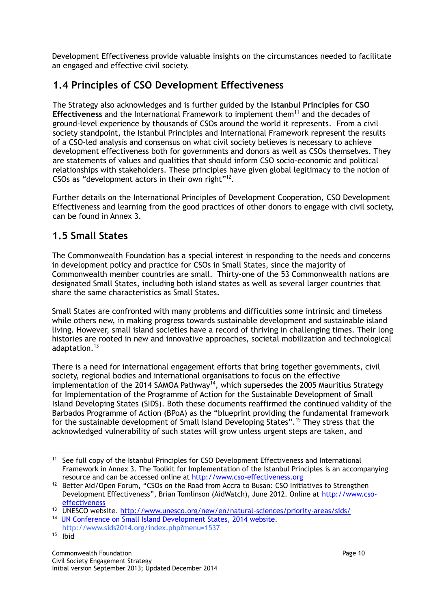Development Effectiveness provide valuable insights on the circumstances needed to facilitate an engaged and effective civil society.

## **1.4 Principles of CSO Development Effectiveness**

The Strategy also acknowledges and is further guided by the **Istanbul Principles for CSO Effectiveness** and the International Framework to implement them<sup>11</sup> and the decades of ground-level experience by thousands of CSOs around the world it represents. From a civil society standpoint, the Istanbul Principles and International Framework represent the results of a CSO-led analysis and consensus on what civil society believes is necessary to achieve development effectiveness both for governments and donors as well as CSOs themselves. They are statements of values and qualities that should inform CSO socio-economic and political relationships with stakeholders. These principles have given global legitimacy to the notion of CSOs as "development actors in their own right" $^{12}$ .

Further details on the International Principles of Development Cooperation, CSO Development Effectiveness and learning from the good practices of other donors to engage with civil society, can be found in Annex 3.

### **1.5 Small States**

The Commonwealth Foundation has a special interest in responding to the needs and concerns in development policy and practice for CSOs in Small States, since the majority of Commonwealth member countries are small. Thirty-one of the 53 Commonwealth nations are designated Small States, including both island states as well as several larger countries that share the same characteristics as Small States.

Small States are confronted with many problems and difficulties some intrinsic and timeless while others new, in making progress towards sustainable development and sustainable island living. However, small island societies have a record of thriving in challenging times. Their long histories are rooted in new and innovative approaches, societal mobilization and technological adaptation.<sup>13</sup>

There is a need for international engagement efforts that bring together governments, civil society, regional bodies and international organisations to focus on the effective implementation of the 2014 SAMOA Pathway<sup>14</sup>, which supersedes the 2005 Mauritius Strategy for Implementation of the Programme of Action for the Sustainable Development of Small Island Developing States (SIDS). Both these documents reaffirmed the continued validity of the Barbados Programme of Action (BPoA) as the "blueprint providing the fundamental framework for the sustainable development of Small Island Developing States".<sup>15</sup> They stress that the acknowledged vulnerability of such states will grow unless urgent steps are taken, and

 $\overline{a}$ <sup>11</sup> See full copy of the Istanbul Principles for CSO Development Effectiveness and International Framework in Annex 3. The Toolkit for Implementation of the Istanbul Principles is an accompanying resource and can be accessed online at http://www.cso-effectiveness.org

<sup>&</sup>lt;sup>12</sup> Better Aid/Open Forum, "CSOs on the Road from Accra to Busan: CSO Initiatives to Strengthen Development Effectiveness", Brian Tomlinson (AidWatch), June 2012. Online at http://www.csoeffectiveness

<sup>13</sup> UNESCO website. http://www.unesco.org/new/en/natural-sciences/priority-areas/sids/

<sup>14</sup> UN Conference on Small Island Development States, 2014 website. http://www.sids2014.org/index.php?menu=1537

<sup>15</sup> Ibid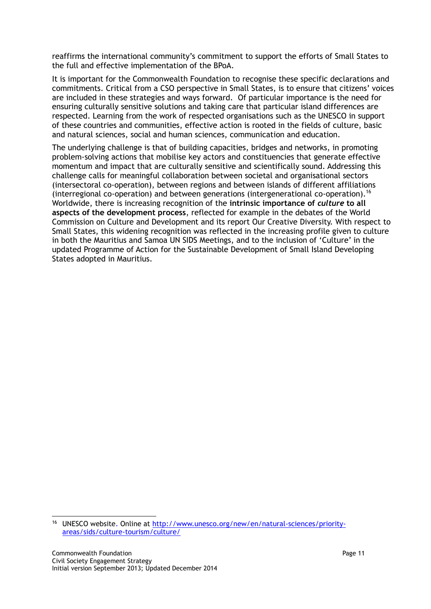reaffirms the international community's commitment to support the efforts of Small States to the full and effective implementation of the BPoA.

It is important for the Commonwealth Foundation to recognise these specific declarations and commitments. Critical from a CSO perspective in Small States, is to ensure that citizens' voices are included in these strategies and ways forward. Of particular importance is the need for ensuring culturally sensitive solutions and taking care that particular island differences are respected. Learning from the work of respected organisations such as the UNESCO in support of these countries and communities, effective action is rooted in the fields of culture, basic and natural sciences, social and human sciences, communication and education.

The underlying challenge is that of building capacities, bridges and networks, in promoting problem-solving actions that mobilise key actors and constituencies that generate effective momentum and impact that are culturally sensitive and scientifically sound. Addressing this challenge calls for meaningful collaboration between societal and organisational sectors (intersectoral co-operation), between regions and between islands of different affiliations (interregional co-operation) and between generations (intergenerational co-operation).<sup>16</sup> Worldwide, there is increasing recognition of the **intrinsic importance of** *culture* **to all aspects of the development process**, reflected for example in the debates of the World Commission on Culture and Development and its report Our Creative Diversity. With respect to Small States, this widening recognition was reflected in the increasing profile given to culture in both the Mauritius and Samoa UN SIDS Meetings, and to the inclusion of 'Culture' in the updated Programme of Action for the Sustainable Development of Small Island Developing States adopted in Mauritius.

l

<sup>&</sup>lt;sup>16</sup> UNESCO website. Online at http://www.unesco.org/new/en/natural-sciences/priorityareas/sids/culture-tourism/culture/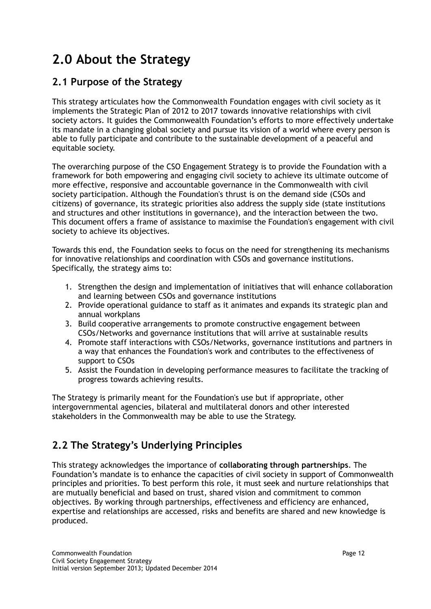## **2.0 About the Strategy**

### **2.1 Purpose of the Strategy**

This strategy articulates how the Commonwealth Foundation engages with civil society as it implements the Strategic Plan of 2012 to 2017 towards innovative relationships with civil society actors. It guides the Commonwealth Foundation's efforts to more effectively undertake its mandate in a changing global society and pursue its vision of a world where every person is able to fully participate and contribute to the sustainable development of a peaceful and equitable society.

The overarching purpose of the CSO Engagement Strategy is to provide the Foundation with a framework for both empowering and engaging civil society to achieve its ultimate outcome of more effective, responsive and accountable governance in the Commonwealth with civil society participation. Although the Foundation's thrust is on the demand side (CSOs and citizens) of governance, its strategic priorities also address the supply side (state institutions and structures and other institutions in governance), and the interaction between the two. This document offers a frame of assistance to maximise the Foundation's engagement with civil society to achieve its objectives.

Towards this end, the Foundation seeks to focus on the need for strengthening its mechanisms for innovative relationships and coordination with CSOs and governance institutions. Specifically, the strategy aims to:

- 1. Strengthen the design and implementation of initiatives that will enhance collaboration and learning between CSOs and governance institutions
- 2. Provide operational guidance to staff as it animates and expands its strategic plan and annual workplans
- 3. Build cooperative arrangements to promote constructive engagement between CSOs/Networks and governance institutions that will arrive at sustainable results
- 4. Promote staff interactions with CSOs/Networks, governance institutions and partners in a way that enhances the Foundation's work and contributes to the effectiveness of support to CSOs
- 5. Assist the Foundation in developing performance measures to facilitate the tracking of progress towards achieving results.

The Strategy is primarily meant for the Foundation's use but if appropriate, other intergovernmental agencies, bilateral and multilateral donors and other interested stakeholders in the Commonwealth may be able to use the Strategy.

## **2.2 The Strategy's Underlying Principles**

This strategy acknowledges the importance of **collaborating through partnerships**. The Foundation's mandate is to enhance the capacities of civil society in support of Commonwealth principles and priorities. To best perform this role, it must seek and nurture relationships that are mutually beneficial and based on trust, shared vision and commitment to common objectives. By working through partnerships, effectiveness and efficiency are enhanced, expertise and relationships are accessed, risks and benefits are shared and new knowledge is produced.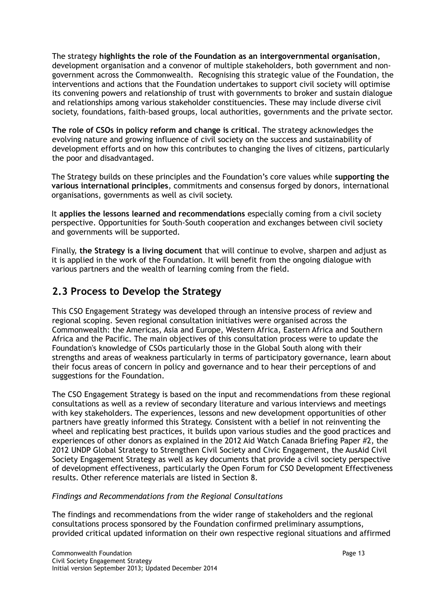The strategy **highlights the role of the Foundation as an intergovernmental organisation**, development organisation and a convenor of multiple stakeholders, both government and nongovernment across the Commonwealth. Recognising this strategic value of the Foundation, the interventions and actions that the Foundation undertakes to support civil society will optimise its convening powers and relationship of trust with governments to broker and sustain dialogue and relationships among various stakeholder constituencies. These may include diverse civil society, foundations, faith-based groups, local authorities, governments and the private sector.

**The role of CSOs in policy reform and change is critical**. The strategy acknowledges the evolving nature and growing influence of civil society on the success and sustainability of development efforts and on how this contributes to changing the lives of citizens, particularly the poor and disadvantaged.

The Strategy builds on these principles and the Foundation's core values while **supporting the various international principles**, commitments and consensus forged by donors, international organisations, governments as well as civil society.

It **applies the lessons learned and recommendations** especially coming from a civil society perspective. Opportunities for South-South cooperation and exchanges between civil society and governments will be supported.

Finally, **the Strategy is a living document** that will continue to evolve, sharpen and adjust as it is applied in the work of the Foundation. It will benefit from the ongoing dialogue with various partners and the wealth of learning coming from the field.

### **2.3 Process to Develop the Strategy**

This CSO Engagement Strategy was developed through an intensive process of review and regional scoping. Seven regional consultation initiatives were organised across the Commonwealth: the Americas, Asia and Europe, Western Africa, Eastern Africa and Southern Africa and the Pacific. The main objectives of this consultation process were to update the Foundation's knowledge of CSOs particularly those in the Global South along with their strengths and areas of weakness particularly in terms of participatory governance, learn about their focus areas of concern in policy and governance and to hear their perceptions of and suggestions for the Foundation.

The CSO Engagement Strategy is based on the input and recommendations from these regional consultations as well as a review of secondary literature and various interviews and meetings with key stakeholders. The experiences, lessons and new development opportunities of other partners have greatly informed this Strategy. Consistent with a belief in not reinventing the wheel and replicating best practices, it builds upon various studies and the good practices and experiences of other donors as explained in the 2012 Aid Watch Canada Briefing Paper #2, the 2012 UNDP Global Strategy to Strengthen Civil Society and Civic Engagement, the AusAid Civil Society Engagement Strategy as well as key documents that provide a civil society perspective of development effectiveness, particularly the Open Forum for CSO Development Effectiveness results. Other reference materials are listed in Section 8.

#### *Findings and Recommendations from the Regional Consultations*

The findings and recommendations from the wider range of stakeholders and the regional consultations process sponsored by the Foundation confirmed preliminary assumptions, provided critical updated information on their own respective regional situations and affirmed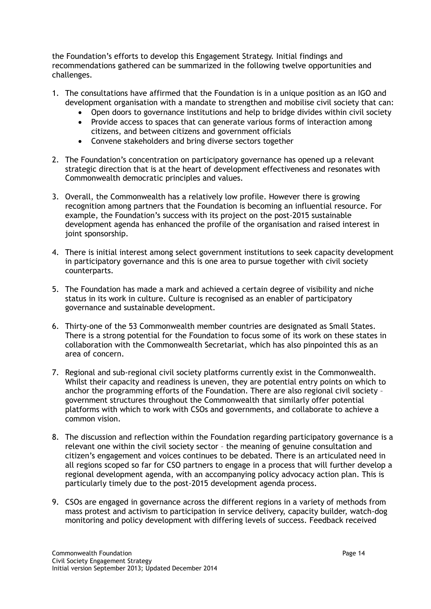the Foundation's efforts to develop this Engagement Strategy. Initial findings and recommendations gathered can be summarized in the following twelve opportunities and challenges.

- 1. The consultations have affirmed that the Foundation is in a unique position as an IGO and development organisation with a mandate to strengthen and mobilise civil society that can:
	- Open doors to governance institutions and help to bridge divides within civil society
	- Provide access to spaces that can generate various forms of interaction among citizens, and between citizens and government officials
	- Convene stakeholders and bring diverse sectors together
- 2. The Foundation's concentration on participatory governance has opened up a relevant strategic direction that is at the heart of development effectiveness and resonates with Commonwealth democratic principles and values.
- 3. Overall, the Commonwealth has a relatively low profile. However there is growing recognition among partners that the Foundation is becoming an influential resource. For example, the Foundation's success with its project on the post-2015 sustainable development agenda has enhanced the profile of the organisation and raised interest in joint sponsorship.
- 4. There is initial interest among select government institutions to seek capacity development in participatory governance and this is one area to pursue together with civil society counterparts.
- 5. The Foundation has made a mark and achieved a certain degree of visibility and niche status in its work in culture. Culture is recognised as an enabler of participatory governance and sustainable development.
- 6. Thirty-one of the 53 Commonwealth member countries are designated as Small States. There is a strong potential for the Foundation to focus some of its work on these states in collaboration with the Commonwealth Secretariat, which has also pinpointed this as an area of concern.
- 7. Regional and sub-regional civil society platforms currently exist in the Commonwealth. Whilst their capacity and readiness is uneven, they are potential entry points on which to anchor the programming efforts of the Foundation. There are also regional civil society – government structures throughout the Commonwealth that similarly offer potential platforms with which to work with CSOs and governments, and collaborate to achieve a common vision.
- 8. The discussion and reflection within the Foundation regarding participatory governance is a relevant one within the civil society sector – the meaning of genuine consultation and citizen's engagement and voices continues to be debated. There is an articulated need in all regions scoped so far for CSO partners to engage in a process that will further develop a regional development agenda, with an accompanying policy advocacy action plan. This is particularly timely due to the post-2015 development agenda process.
- 9. CSOs are engaged in governance across the different regions in a variety of methods from mass protest and activism to participation in service delivery, capacity builder, watch-dog monitoring and policy development with differing levels of success. Feedback received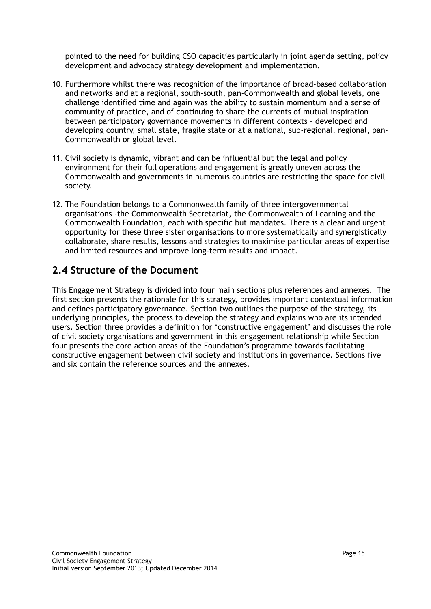pointed to the need for building CSO capacities particularly in joint agenda setting, policy development and advocacy strategy development and implementation.

- 10. Furthermore whilst there was recognition of the importance of broad-based collaboration and networks and at a regional, south-south, pan-Commonwealth and global levels, one challenge identified time and again was the ability to sustain momentum and a sense of community of practice, and of continuing to share the currents of mutual inspiration between participatory governance movements in different contexts – developed and developing country, small state, fragile state or at a national, sub-regional, regional, pan-Commonwealth or global level.
- 11. Civil society is dynamic, vibrant and can be influential but the legal and policy environment for their full operations and engagement is greatly uneven across the Commonwealth and governments in numerous countries are restricting the space for civil society.
- 12. The Foundation belongs to a Commonwealth family of three intergovernmental organisations -the Commonwealth Secretariat, the Commonwealth of Learning and the Commonwealth Foundation, each with specific but mandates. There is a clear and urgent opportunity for these three sister organisations to more systematically and synergistically collaborate, share results, lessons and strategies to maximise particular areas of expertise and limited resources and improve long-term results and impact.

### **2.4 Structure of the Document**

This Engagement Strategy is divided into four main sections plus references and annexes. The first section presents the rationale for this strategy, provides important contextual information and defines participatory governance. Section two outlines the purpose of the strategy, its underlying principles, the process to develop the strategy and explains who are its intended users. Section three provides a definition for 'constructive engagement' and discusses the role of civil society organisations and government in this engagement relationship while Section four presents the core action areas of the Foundation's programme towards facilitating constructive engagement between civil society and institutions in governance. Sections five and six contain the reference sources and the annexes.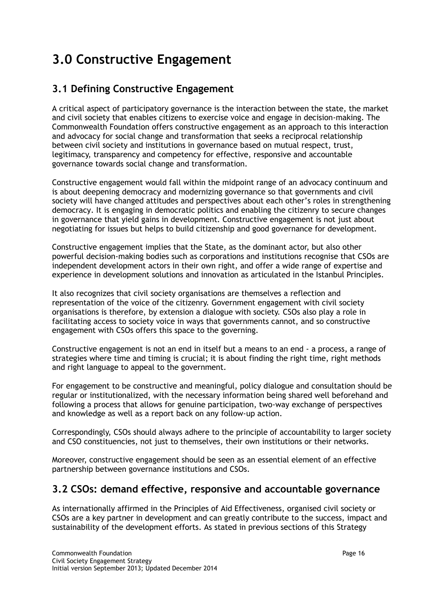## **3.0 Constructive Engagement**

## **3.1 Defining Constructive Engagement**

A critical aspect of participatory governance is the interaction between the state, the market and civil society that enables citizens to exercise voice and engage in decision-making. The Commonwealth Foundation offers constructive engagement as an approach to this interaction and advocacy for social change and transformation that seeks a reciprocal relationship between civil society and institutions in governance based on mutual respect, trust, legitimacy, transparency and competency for effective, responsive and accountable governance towards social change and transformation.

Constructive engagement would fall within the midpoint range of an advocacy continuum and is about deepening democracy and modernizing governance so that governments and civil society will have changed attitudes and perspectives about each other's roles in strengthening democracy. It is engaging in democratic politics and enabling the citizenry to secure changes in governance that yield gains in development. Constructive engagement is not just about negotiating for issues but helps to build citizenship and good governance for development.

Constructive engagement implies that the State, as the dominant actor, but also other powerful decision-making bodies such as corporations and institutions recognise that CSOs are independent development actors in their own right, and offer a wide range of expertise and experience in development solutions and innovation as articulated in the Istanbul Principles.

It also recognizes that civil society organisations are themselves a reflection and representation of the voice of the citizenry. Government engagement with civil society organisations is therefore, by extension a dialogue with society. CSOs also play a role in facilitating access to society voice in ways that governments cannot, and so constructive engagement with CSOs offers this space to the governing.

Constructive engagement is not an end in itself but a means to an end - a process, a range of strategies where time and timing is crucial; it is about finding the right time, right methods and right language to appeal to the government.

For engagement to be constructive and meaningful, policy dialogue and consultation should be regular or institutionalized, with the necessary information being shared well beforehand and following a process that allows for genuine participation, two-way exchange of perspectives and knowledge as well as a report back on any follow-up action.

Correspondingly, CSOs should always adhere to the principle of accountability to larger society and CSO constituencies, not just to themselves, their own institutions or their networks.

Moreover, constructive engagement should be seen as an essential element of an effective partnership between governance institutions and CSOs.

## **3.2 CSOs: demand effective, responsive and accountable governance**

As internationally affirmed in the Principles of Aid Effectiveness, organised civil society or CSOs are a key partner in development and can greatly contribute to the success, impact and sustainability of the development efforts. As stated in previous sections of this Strategy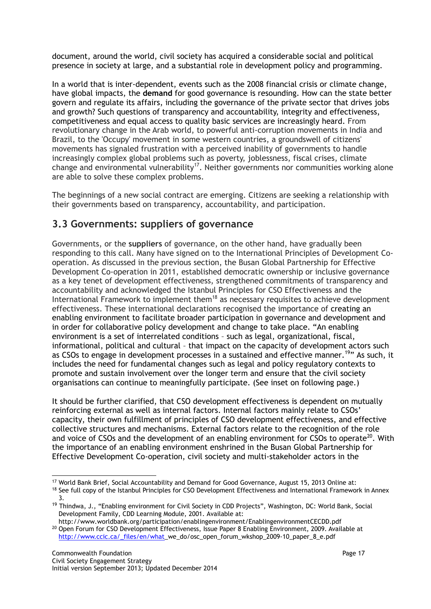document, around the world, civil society has acquired a considerable social and political presence in society at large, and a substantial role in development policy and programming.

In a world that is inter-dependent, events such as the 2008 financial crisis or climate change, have global impacts, the **demand** for good governance is resounding. How can the state better govern and regulate its affairs, including the governance of the private sector that drives jobs and growth? Such questions of transparency and accountability, integrity and effectiveness, competitiveness and equal access to quality basic services are increasingly heard. From revolutionary change in the Arab world, to powerful anti-corruption movements in India and Brazil, to the 'Occupy' movement in some western countries, a groundswell of citizens' movements has signaled frustration with a perceived inability of governments to handle increasingly complex global problems such as poverty, joblessness, fiscal crises, climate change and environmental vulnerability<sup>17</sup>. Neither governments nor communities working alone are able to solve these complex problems.

The beginnings of a new social contract are emerging. Citizens are seeking a relationship with their governments based on transparency, accountability, and participation.

### **3.3 Governments: suppliers of governance**

Governments, or the **suppliers** of governance, on the other hand, have gradually been responding to this call. Many have signed on to the International Principles of Development Cooperation. As discussed in the previous section, the Busan Global Partnership for Effective Development Co-operation in 2011, established democratic ownership or inclusive governance as a key tenet of development effectiveness, strengthened commitments of transparency and accountability and acknowledged the Istanbul Principles for CSO Effectiveness and the International Framework to implement them<sup>18</sup> as necessary requisites to achieve development effectiveness. These international declarations recognised the importance of creating an enabling environment to facilitate broader participation in governance and development and in order for collaborative policy development and change to take place. "An enabling environment is a set of interrelated conditions – such as legal, organizational, fiscal, informational, political and cultural – that impact on the capacity of development actors such as CSOs to engage in development processes in a sustained and effective manner.<sup>19</sup>" As such, it includes the need for fundamental changes such as legal and policy regulatory contexts to promote and sustain involvement over the longer term and ensure that the civil society organisations can continue to meaningfully participate. (See inset on following page.)

It should be further clarified, that CSO development effectiveness is dependent on mutually reinforcing external as well as internal factors. Internal factors mainly relate to CSOs' capacity, their own fulfillment of principles of CSO development effectiveness, and effective collective structures and mechanisms. External factors relate to the recognition of the role and voice of CSOs and the development of an enabling environment for CSOs to operate<sup>20</sup>. With the importance of an enabling environment enshrined in the Busan Global Partnership for Effective Development Co-operation, civil society and multi-stakeholder actors in the

 $\overline{a}$ <sup>17</sup> World Bank Brief, Social Accountability and Demand for Good Governance, August 15, 2013 Online at:

<sup>&</sup>lt;sup>18</sup> See full copy of the Istanbul Principles for CSO Development Effectiveness and International Framework in Annex 3.

<sup>&</sup>lt;sup>19</sup> Thindwa, J., "Enabling environment for Civil Society in CDD Projects", Washington, DC: World Bank, Social Development Family, CDD Learning Module, 2001. Available at:

http://www.worldbank.org/participation/enablingenvironment/EnablingenvironmentCECDD.pdf <sup>20</sup> Open Forum for CSO Development Effectiveness, Issue Paper 8 Enabling Environment, 2009. Available at [http://www.ccic.ca/\\_files/en/what\\_](http://www.ccic.ca/_files/en/what)we\_do/osc\_open\_forum\_wkshop\_2009-10\_paper\_8\_e.pdf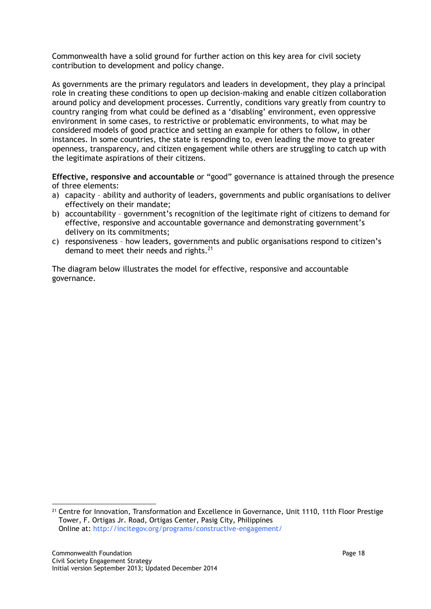Commonwealth have a solid ground for further action on this key area for civil society contribution to development and policy change.

As governments are the primary regulators and leaders in development, they play a principal role in creating these conditions to open up decision-making and enable citizen collaboration around policy and development processes. Currently, conditions vary greatly from country to country ranging from what could be defined as a 'disabling' environment, even oppressive environment in some cases, to restrictive or problematic environments, to what may be considered models of good practice and setting an example for others to follow, in other instances. In some countries, the state is responding to, even leading the move to greater openness, transparency, and citizen engagement while others are struggling to catch up with the legitimate aspirations of their citizens.

**Effective, responsive and accountable** or "good" governance is attained through the presence of three elements:

- a) capacity ability and authority of leaders, governments and public organisations to deliver effectively on their mandate;
- b) accountability government's recognition of the legitimate right of citizens to demand for effective, responsive and accountable governance and demonstrating government's delivery on its commitments;
- c) responsiveness how leaders, governments and public organisations respond to citizen's demand to meet their needs and rights.<sup>21</sup>

The diagram below illustrates the model for effective, responsive and accountable governance.

 $\overline{a}$ <sup>21</sup> Centre for Innovation, Transformation and Excellence in Governance, Unit 1110, 11th Floor Prestige Tower, F. Ortigas Jr. Road, Ortigas Center, Pasig City, Philippines Online at: http://incitegov.org/programs/constructive-engagement/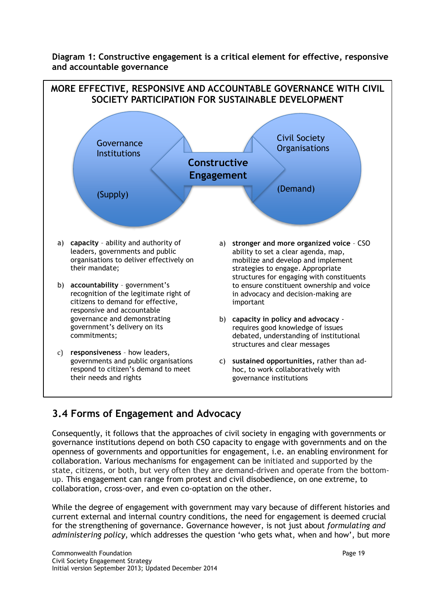**Diagram 1: Constructive engagement is a critical element for effective, responsive and accountable governance**



### **3.4 Forms of Engagement and Advocacy**

Consequently, it follows that the approaches of civil society in engaging with governments or governance institutions depend on both CSO capacity to engage with governments and on the openness of governments and opportunities for engagement, i.e. an enabling environment for collaboration. Various mechanisms for engagement can be initiated and supported by the state, citizens, or both, but very often they are demand-driven and operate from the bottomup. This engagement can range from protest and civil disobedience, on one extreme, to collaboration, cross-over, and even co-optation on the other.

While the degree of engagement with government may vary because of different histories and current external and internal country conditions, the need for engagement is deemed crucial for the strengthening of governance. Governance however, is not just about *formulating and administering policy*, which addresses the question 'who gets what, when and how', but more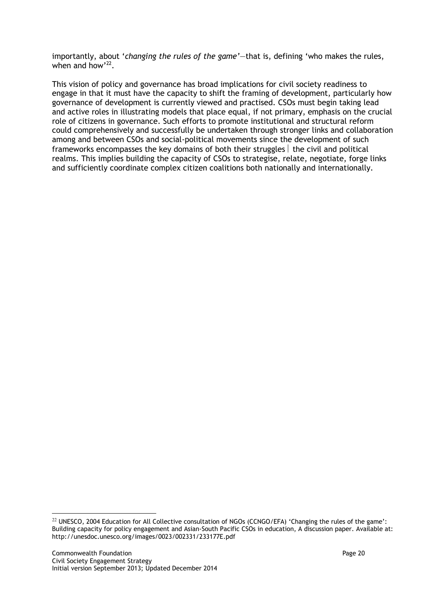importantly, about '*changing the rules of the game'*—that is, defining 'who makes the rules, when and how'<sup>22</sup>.

This vision of policy and governance has broad implications for civil society readiness to engage in that it must have the capacity to shift the framing of development, particularly how governance of development is currently viewed and practised. CSOs must begin taking lead and active roles in illustrating models that place equal, if not primary, emphasis on the crucial role of citizens in governance. Such efforts to promote institutional and structural reform could comprehensively and successfully be undertaken through stronger links and collaboration among and between CSOs and social-political movements since the development of such frameworks encompasses the key domains of both their struggles  $\vert$  the civil and political realms. This implies building the capacity of CSOs to strategise, relate, negotiate, forge links and sufficiently coordinate complex citizen coalitions both nationally and internationally.

 $\overline{a}$ 

<sup>&</sup>lt;sup>22</sup> UNESCO, 2004 Education for All Collective consultation of NGOs (CCNGO/EFA) 'Changing the rules of the game': Building capacity for policy engagement and Asian-South Pacific CSOs in education, A discussion paper. Available at: http://unesdoc.unesco.org/images/0023/002331/233177E.pdf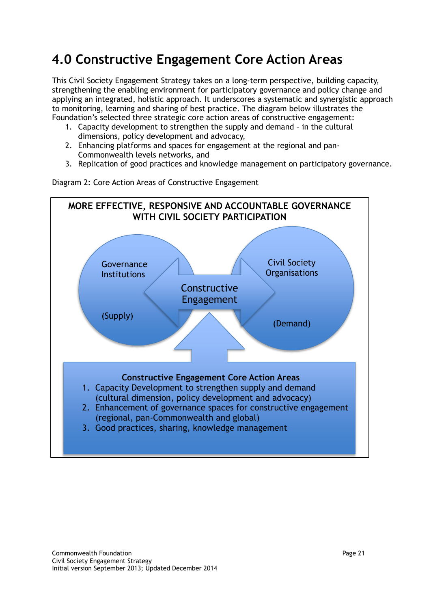## **4.0 Constructive Engagement Core Action Areas**

This Civil Society Engagement Strategy takes on a long-term perspective, building capacity, strengthening the enabling environment for participatory governance and policy change and applying an integrated, holistic approach. It underscores a systematic and synergistic approach to monitoring, learning and sharing of best practice. The diagram below illustrates the Foundation's selected three strategic core action areas of constructive engagement:

- 1. Capacity development to strengthen the supply and demand in the cultural dimensions, policy development and advocacy,
- 2. Enhancing platforms and spaces for engagement at the regional and pan-Commonwealth levels networks, and
- 3. Replication of good practices and knowledge management on participatory governance.



Diagram 2: Core Action Areas of Constructive Engagement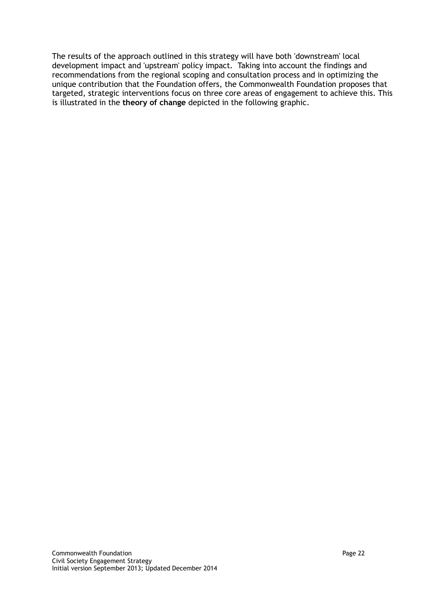The results of the approach outlined in this strategy will have both 'downstream' local development impact and 'upstream' policy impact. Taking into account the findings and recommendations from the regional scoping and consultation process and in optimizing the unique contribution that the Foundation offers, the Commonwealth Foundation proposes that targeted, strategic interventions focus on three core areas of engagement to achieve this. This is illustrated in the **theory of change** depicted in the following graphic.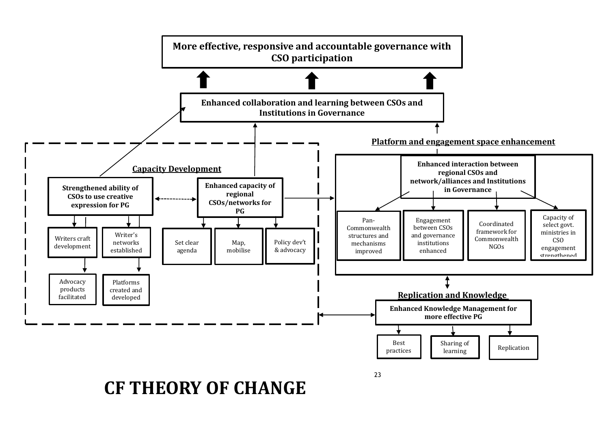

#### Civil Society Engagement Strategy **CF THEORY OF CHANGE**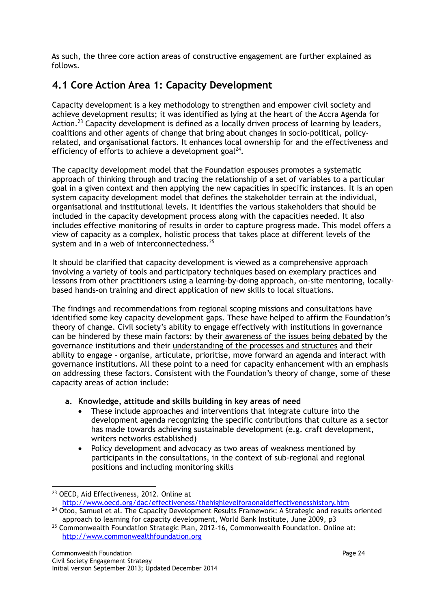As such, the three core action areas of constructive engagement are further explained as follows.

## **4.1 Core Action Area 1: Capacity Development**

Capacity development is a key methodology to strengthen and empower civil society and achieve development results; it was identified as lying at the heart of the Accra Agenda for Action.<sup>23</sup> Capacity development is defined as a locally driven process of learning by leaders, coalitions and other agents of change that bring about changes in socio-political, policyrelated, and organisational factors. It enhances local ownership for and the effectiveness and efficiency of efforts to achieve a development goal<sup>24</sup>.

The capacity development model that the Foundation espouses promotes a systematic approach of thinking through and tracing the relationship of a set of variables to a particular goal in a given context and then applying the new capacities in specific instances. It is an open system capacity development model that defines the stakeholder terrain at the individual, organisational and institutional levels. It identifies the various stakeholders that should be included in the capacity development process along with the capacities needed. It also includes effective monitoring of results in order to capture progress made. This model offers a view of capacity as a complex, holistic process that takes place at different levels of the system and in a web of interconnectedness.<sup>25</sup>

It should be clarified that capacity development is viewed as a comprehensive approach involving a variety of tools and participatory techniques based on exemplary practices and lessons from other practitioners using a learning-by-doing approach, on-site mentoring, locallybased hands-on training and direct application of new skills to local situations.

The findings and recommendations from regional scoping missions and consultations have identified some key capacity development gaps. These have helped to affirm the Foundation's theory of change. Civil society's ability to engage effectively with institutions in governance can be hindered by these main factors: by their awareness of the issues being debated by the governance institutions and their understanding of the processes and structures and their ability to engage – organise, articulate, prioritise, move forward an agenda and interact with governance institutions. All these point to a need for capacity enhancement with an emphasis on addressing these factors. Consistent with the Foundation's theory of change, some of these capacity areas of action include:

#### **a. Knowledge, attitude and skills building in key areas of need**

- These include approaches and interventions that integrate culture into the development agenda recognizing the specific contributions that culture as a sector has made towards achieving sustainable development (e.g. craft development, writers networks established)
- Policy development and advocacy as two areas of weakness mentioned by participants in the consultations, in the context of sub-regional and regional positions and including monitoring skills

 $\overline{a}$ <sup>23</sup> OECD, Aid Effectiveness, 2012. Online at

<http://www.oecd.org/>dac/effectiveness/thehighlevelforaonaideffectivenesshistory.htm <sup>24</sup> Otoo, Samuel et al. The Capacity Development Results Framework: A Strategic and results oriented

approach to learning for capacity development, World Bank Institute, June 2009, p3 <sup>25</sup> Commonwealth Foundation Strategic Plan, 2012-16, Commonwealth Foundation. Online at: http://www.commonwealthfoundation.org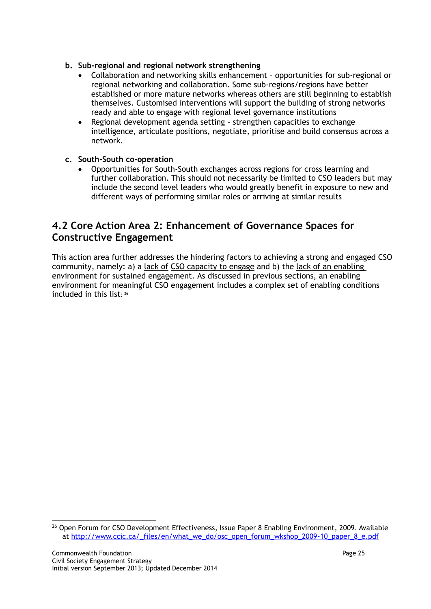#### **b. Sub-regional and regional network strengthening**

- Collaboration and networking skills enhancement opportunities for sub-regional or regional networking and collaboration. Some sub-regions/regions have better established or more mature networks whereas others are still beginning to establish themselves. Customised interventions will support the building of strong networks ready and able to engage with regional level governance institutions
- Regional development agenda setting strengthen capacities to exchange intelligence, articulate positions, negotiate, prioritise and build consensus across a network.

#### **c. South-South co-operation**

 Opportunities for South-South exchanges across regions for cross learning and further collaboration. This should not necessarily be limited to CSO leaders but may include the second level leaders who would greatly benefit in exposure to new and different ways of performing similar roles or arriving at similar results

### **4.2 Core Action Area 2: Enhancement of Governance Spaces for Constructive Engagement**

This action area further addresses the hindering factors to achieving a strong and engaged CSO community, namely: a) a lack of CSO capacity to engage and b) the lack of an enabling environment for sustained engagement. As discussed in previous sections, an enabling environment for meaningful CSO engagement includes a complex set of enabling conditions included in this list $·$  26

 $\overline{a}$ <sup>26</sup> Open Forum for CSO Development Effectiveness, Issue Paper 8 Enabling Environment, 2009. Available at [http://www.ccic.ca/\\_files/en/what\\_we\\_do/osc\\_open\\_forum\\_wkshop\\_2009-10\\_paper\\_8\\_e.pdf](http://www.ccic.ca/_files/en/what_we_do/osc_open_forum_wkshop_2009-10_paper_8_e.pdf)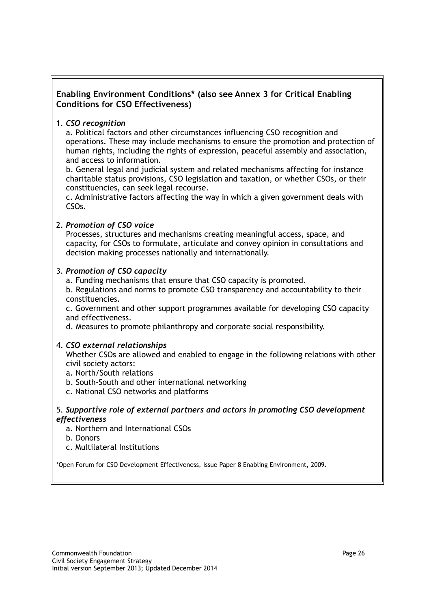#### **Enabling Environment Conditions\* (also see Annex 3 for Critical Enabling Conditions for CSO Effectiveness)**

#### 1. *CSO recognition*

a. Political factors and other circumstances influencing CSO recognition and operations. These may include mechanisms to ensure the promotion and protection of human rights, including the rights of expression, peaceful assembly and association, and access to information.

b. General legal and judicial system and related mechanisms affecting for instance charitable status provisions, CSO legislation and taxation, or whether CSOs, or their constituencies, can seek legal recourse.

c. Administrative factors affecting the way in which a given government deals with CSOs.

#### 2. *Promotion of CSO voice*

Processes, structures and mechanisms creating meaningful access, space, and capacity, for CSOs to formulate, articulate and convey opinion in consultations and decision making processes nationally and internationally.

#### 3. *Promotion of CSO capacity*

a. Funding mechanisms that ensure that CSO capacity is promoted.

b. Regulations and norms to promote CSO transparency and accountability to their constituencies.

c. Government and other support programmes available for developing CSO capacity and effectiveness.

d. Measures to promote philanthropy and corporate social responsibility.

#### 4. *CSO external relationships*

Whether CSOs are allowed and enabled to engage in the following relations with other civil society actors:

- a. North/South relations
- b. South-South and other international networking
- c. National CSO networks and platforms

#### 5. *Supportive role of external partners and actors in promoting CSO development effectiveness*

- a. Northern and International CSOs
- b. Donors
- c. Multilateral Institutions

\*Open Forum for CSO Development Effectiveness, Issue Paper 8 Enabling Environment, 2009.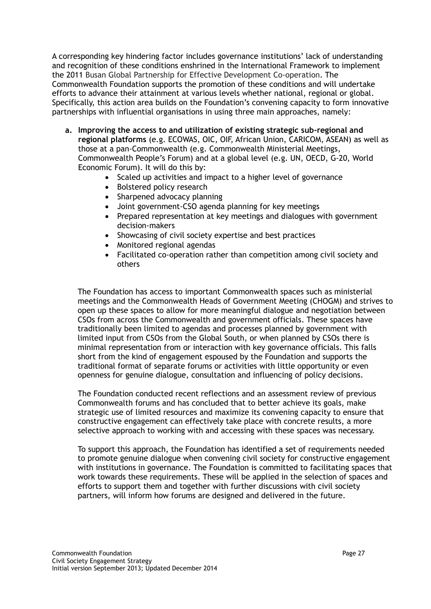A corresponding key hindering factor includes governance institutions' lack of understanding and recognition of these conditions enshrined in the International Framework to implement the 2011 Busan Global Partnership for Effective Development Co-operation. The Commonwealth Foundation supports the promotion of these conditions and will undertake efforts to advance their attainment at various levels whether national, regional or global. Specifically, this action area builds on the Foundation's convening capacity to form innovative partnerships with influential organisations in using three main approaches, namely:

- **a. Improving the access to and utilization of existing strategic sub-regional and regional platforms** (e.g. ECOWAS, OIC, OIF, African Union, CARICOM, ASEAN) as well as those at a pan-Commonwealth (e.g. Commonwealth Ministerial Meetings, Commonwealth People's Forum) and at a global level (e.g. UN, OECD, G-20, World Economic Forum). It will do this by:
	- Scaled up activities and impact to a higher level of governance
	- Bolstered policy research
	- Sharpened advocacy planning
	- Joint government-CSO agenda planning for key meetings
	- Prepared representation at key meetings and dialogues with government decision-makers
	- Showcasing of civil society expertise and best practices
	- Monitored regional agendas
	- Facilitated co-operation rather than competition among civil society and others

The Foundation has access to important Commonwealth spaces such as ministerial meetings and the Commonwealth Heads of Government Meeting (CHOGM) and strives to open up these spaces to allow for more meaningful dialogue and negotiation between CSOs from across the Commonwealth and government officials. These spaces have traditionally been limited to agendas and processes planned by government with limited input from CSOs from the Global South, or when planned by CSOs there is minimal representation from or interaction with key governance officials. This falls short from the kind of engagement espoused by the Foundation and supports the traditional format of separate forums or activities with little opportunity or even openness for genuine dialogue, consultation and influencing of policy decisions.

The Foundation conducted recent reflections and an assessment review of previous Commonwealth forums and has concluded that to better achieve its goals, make strategic use of limited resources and maximize its convening capacity to ensure that constructive engagement can effectively take place with concrete results, a more selective approach to working with and accessing with these spaces was necessary.

To support this approach, the Foundation has identified a set of requirements needed to promote genuine dialogue when convening civil society for constructive engagement with institutions in governance. The Foundation is committed to facilitating spaces that work towards these requirements. These will be applied in the selection of spaces and efforts to support them and together with further discussions with civil society partners, will inform how forums are designed and delivered in the future.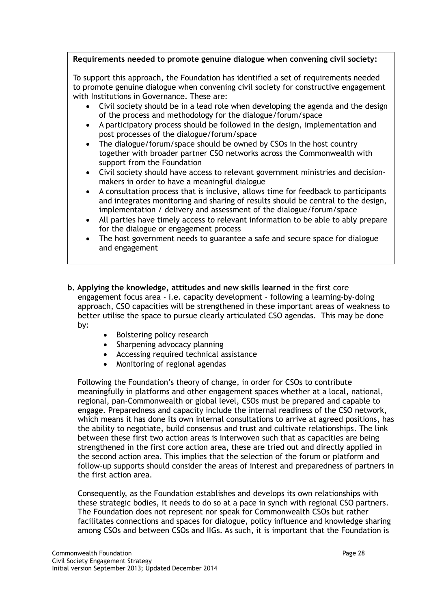#### **Requirements needed to promote genuine dialogue when convening civil society:**

To support this approach, the Foundation has identified a set of requirements needed to promote genuine dialogue when convening civil society for constructive engagement with Institutions in Governance. These are:

- Civil society should be in a lead role when developing the agenda and the design of the process and methodology for the dialogue/forum/space
- A participatory process should be followed in the design, implementation and post processes of the dialogue/forum/space
- The dialogue/forum/space should be owned by CSOs in the host country together with broader partner CSO networks across the Commonwealth with support from the Foundation
- Civil society should have access to relevant government ministries and decisionmakers in order to have a meaningful dialogue
- A consultation process that is inclusive, allows time for feedback to participants and integrates monitoring and sharing of results should be central to the design, implementation / delivery and assessment of the dialogue/forum/space
- All parties have timely access to relevant information to be able to ably prepare for the dialogue or engagement process
- The host government needs to guarantee a safe and secure space for dialogue and engagement
- **b. Applying the knowledge, attitudes and new skills learned** in the first core engagement focus area - i.e. capacity development - following a learning-by-doing approach, CSO capacities will be strengthened in these important areas of weakness to better utilise the space to pursue clearly articulated CSO agendas. This may be done by:
	- Bolstering policy research
	- Sharpening advocacy planning
	- Accessing required technical assistance
	- Monitoring of regional agendas

Following the Foundation's theory of change, in order for CSOs to contribute meaningfully in platforms and other engagement spaces whether at a local, national, regional, pan-Commonwealth or global level, CSOs must be prepared and capable to engage. Preparedness and capacity include the internal readiness of the CSO network, which means it has done its own internal consultations to arrive at agreed positions, has the ability to negotiate, build consensus and trust and cultivate relationships. The link between these first two action areas is interwoven such that as capacities are being strengthened in the first core action area, these are tried out and directly applied in the second action area. This implies that the selection of the forum or platform and follow-up supports should consider the areas of interest and preparedness of partners in the first action area.

Consequently, as the Foundation establishes and develops its own relationships with these strategic bodies, it needs to do so at a pace in synch with regional CSO partners. The Foundation does not represent nor speak for Commonwealth CSOs but rather facilitates connections and spaces for dialogue, policy influence and knowledge sharing among CSOs and between CSOs and IIGs. As such, it is important that the Foundation is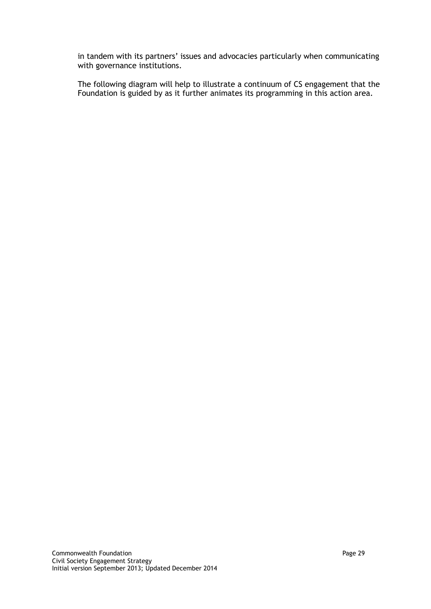in tandem with its partners' issues and advocacies particularly when communicating with governance institutions.

The following diagram will help to illustrate a continuum of CS engagement that the Foundation is guided by as it further animates its programming in this action area.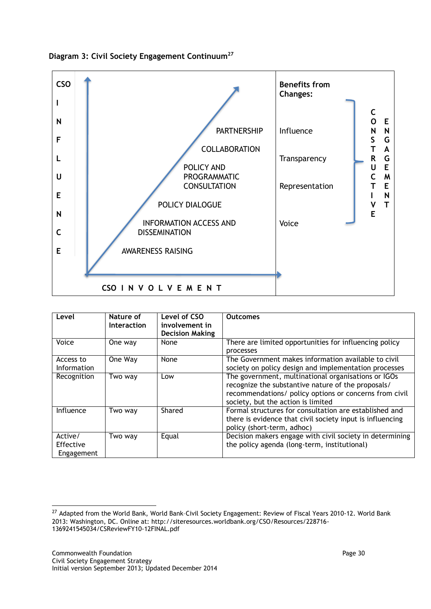



| Level                              | Nature of<br><b>Interaction</b> | Level of CSO<br>involvement in<br><b>Decision Making</b> | <b>Outcomes</b>                                                                                                                                                                                           |
|------------------------------------|---------------------------------|----------------------------------------------------------|-----------------------------------------------------------------------------------------------------------------------------------------------------------------------------------------------------------|
| Voice                              | One way                         | None                                                     | There are limited opportunities for influencing policy<br>processes                                                                                                                                       |
| Access to<br>Information           | One Way                         | None                                                     | The Government makes information available to civil<br>society on policy design and implementation processes                                                                                              |
| Recognition                        | Two way                         | Low                                                      | The government, multinational organisations or IGOs<br>recognize the substantive nature of the proposals/<br>recommendations/ policy options or concerns from civil<br>society, but the action is limited |
| Influence                          | Two way                         | Shared                                                   | Formal structures for consultation are established and<br>there is evidence that civil society input is influencing<br>policy (short-term, adhoc)                                                         |
| Active/<br>Effective<br>Engagement | Two way                         | Equal                                                    | Decision makers engage with civil society in determining<br>the policy agenda (long-term, institutional)                                                                                                  |

l

<sup>&</sup>lt;sup>27</sup> Adapted from the World Bank, World Bank-Civil Society Engagement: Review of Fiscal Years 2010-12. World Bank 2013: Washington, DC. Online at: http://siteresources.worldbank.org/CSO/Resources/228716- 1369241545034/CSReviewFY10-12FINAL.pdf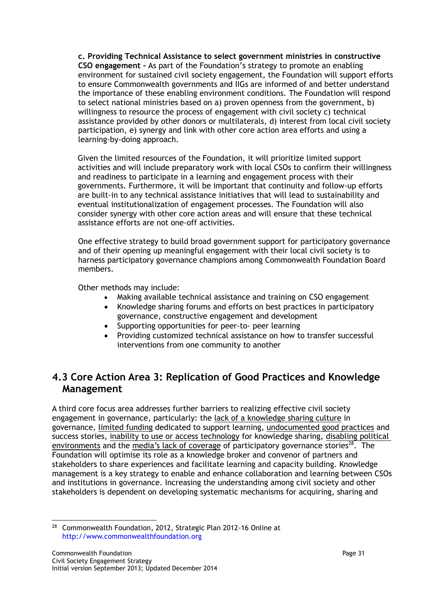**c. Providing Technical Assistance to select government ministries in constructive CSO engagement -** As part of the Foundation's strategy to promote an enabling environment for sustained civil society engagement, the Foundation will support efforts to ensure Commonwealth governments and IIGs are informed of and better understand the importance of these enabling environment conditions. The Foundation will respond to select national ministries based on a) proven openness from the government, b) willingness to resource the process of engagement with civil society c) technical assistance provided by other donors or multilaterals, d) interest from local civil society participation, e) synergy and link with other core action area efforts and using a learning-by-doing approach.

Given the limited resources of the Foundation, it will prioritize limited support activities and will include preparatory work with local CSOs to confirm their willingness and readiness to participate in a learning and engagement process with their governments. Furthermore, it will be important that continuity and follow-up efforts are built-in to any technical assistance initiatives that will lead to sustainability and eventual institutionalization of engagement processes. The Foundation will also consider synergy with other core action areas and will ensure that these technical assistance efforts are not one-off activities.

One effective strategy to build broad government support for participatory governance and of their opening up meaningful engagement with their local civil society is to harness participatory governance champions among Commonwealth Foundation Board members.

Other methods may include:

- Making available technical assistance and training on CSO engagement
- Knowledge sharing forums and efforts on best practices in participatory governance, constructive engagement and development
- Supporting opportunities for peer-to- peer learning
- Providing customized technical assistance on how to transfer successful interventions from one community to another

### **4.3 Core Action Area 3: Replication of Good Practices and Knowledge Management**

A third core focus area addresses further barriers to realizing effective civil society engagement in governance, particularly: the lack of a knowledge sharing culture in governance, limited funding dedicated to support learning, undocumented good practices and success stories, inability to use or access technology for knowledge sharing, disabling political environments and the media's lack of coverage of participatory governance stories<sup>28</sup>. The Foundation will optimise its role as a knowledge broker and convenor of partners and stakeholders to share experiences and facilitate learning and capacity building. Knowledge management is a key strategy to enable and enhance collaboration and learning between CSOs and institutions in governance. Increasing the understanding among civil society and other stakeholders is dependent on developing systematic mechanisms for acquiring, sharing and

 $\overline{\phantom{a}}$  $28$  Commonwealth Foundation, 2012, Strategic Plan 2012-16 Online at http://www.commonwealthfoundation.org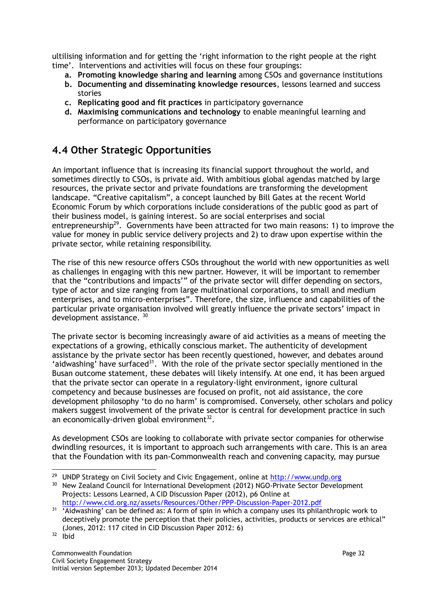ultilising information and for getting the 'right information to the right people at the right time'. Interventions and activities will focus on these four groupings:

- **a. Promoting knowledge sharing and learning** among CSOs and governance institutions
- **b. Documenting and disseminating knowledge resources**, lessons learned and success stories
- **c. Replicating good and fit practices** in participatory governance
- **d. Maximising communications and technology** to enable meaningful learning and performance on participatory governance

## **4.4 Other Strategic Opportunities**

An important influence that is increasing its financial support throughout the world, and sometimes directly to CSOs, is private aid. With ambitious global agendas matched by large resources, the private sector and private foundations are transforming the development landscape. "Creative capitalism", a concept launched by Bill Gates at the recent World Economic Forum by which corporations include considerations of the public good as part of their business model, is gaining interest. So are social enterprises and social entrepreneurship<sup>29</sup>. Governments have been attracted for two main reasons: 1) to improve the value for money in public service delivery projects and 2) to draw upon expertise within the private sector, while retaining responsibility.

The rise of this new resource offers CSOs throughout the world with new opportunities as well as challenges in engaging with this new partner. However, it will be important to remember that the "contributions and impacts'" of the private sector will differ depending on sectors, type of actor and size ranging from large multinational corporations, to small and medium enterprises, and to micro-enterprises". Therefore, the size, influence and capabilities of the particular private organisation involved will greatly influence the private sectors' impact in development assistance. 30

The private sector is becoming increasingly aware of aid activities as a means of meeting the expectations of a growing, ethically conscious market. The authenticity of development assistance by the private sector has been recently questioned, however, and debates around 'aidwashing' have surfaced<sup>31</sup>. With the role of the private sector specially mentioned in the Busan outcome statement, these debates will likely intensify. At one end, it has been argued that the private sector can operate in a regulatory-light environment, ignore cultural competency and because businesses are focused on profit, not aid assistance, the core development philosophy 'to do no harm' is compromised. Conversely, other scholars and policy makers suggest involvement of the private sector is central for development practice in such an economically-driven global environment $^{32}$ .

As development CSOs are looking to collaborate with private sector companies for otherwise dwindling resources, it is important to approach such arrangements with care. This is an area that the Foundation with its pan-Commonwealth reach and convening capacity, may pursue

<sup>29</sup> <sup>29</sup> UNDP Strategy on Civil Society and Civic Engagement, online at [http://www.undp.org](http://www.undp.org/)

<sup>&</sup>lt;sup>30</sup> New Zealand Council for International Development (2012) NGO-Private Sector Development Projects: Lessons Learned, A CID Discussion Paper (2012), p6 Online at http://www.cid.org.nz/assets/Resources/Other/PPP-Discussion-Paper-2012.pdf

 $31$  'Aidwashing' can be defined as: A form of spin in which a company uses its philanthropic work to deceptively promote the perception that their policies, activities, products or services are ethical" (Jones, 2012: 117 cited in CID Discussion Paper 2012: 6)

<sup>32</sup> Ibid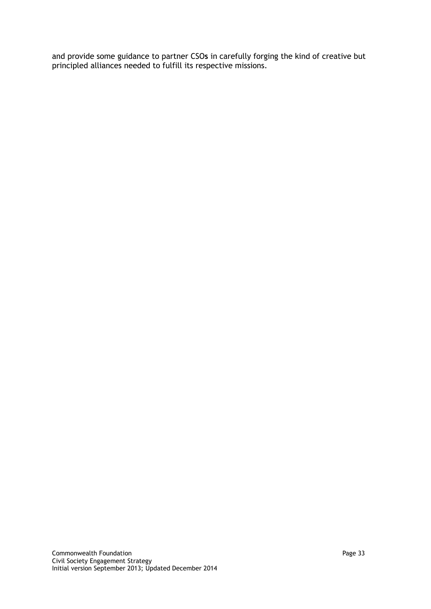and provide some guidance to partner CSO**s** in carefully forging the kind of creative but principled alliances needed to fulfill its respective missions.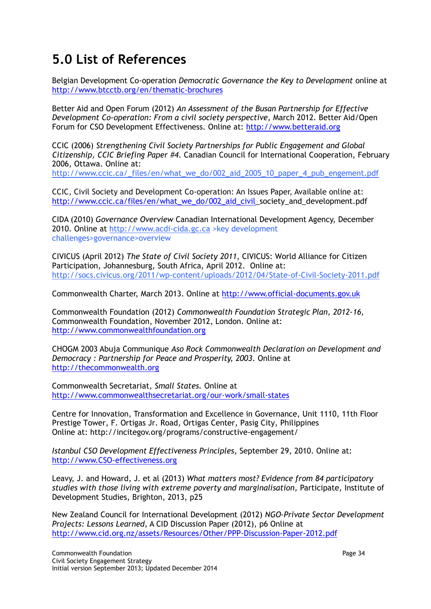## **5.0 List of References**

Belgian Development Co-operation *Democratic Governance the Key to Development* online at http://www.btcctb.org/en/thematic-brochures

Better Aid and Open Forum (2012) *An Assessment of the Busan Partnership for Effective Development Co-operation: From a civil society perspective,* March 2012. Better Aid/Open Forum for CSO Development Effectiveness. Online at: [http://www.betteraid.org](http://www.betteraid.org/)

CCIC (2006) *Strengthening Civil Society Partnerships for Public Engagement and Global Citizenship, CCIC Briefing Paper #4*. Canadian Council for International Cooperation, February 2006, Ottawa. Online at:

[http://www.ccic.ca/\\_files/en/what\\_we\\_do/002\\_aid\\_2005\\_10\\_paper\\_4\\_pub\\_engement.pdf](http://www.ccic.ca/_files/en/what_we_do/002_aid_2005_10_paper_4_pub_engement.pdf)

CCIC, Civil Society and Development Co-operation: An Issues Paper, Available online at: [http://www.ccic.ca/files/en/what\\_we\\_do/002\\_aid\\_civil\\_](http://www.ccic.ca/files/en/what_we_do/002_aid_civil)society\_and\_development.pdf

CIDA (2010) *Governance Overview* Canadian International Development Agency, December 2010. Online at [http://www.acdi-cida.gc.ca](http://www.acdi-cida.gc.ca/) >key development challenges>governance>overview

CIVICUS (April 2012) *The State of Civil Society 2011*, CIVICUS: World Alliance for Citizen Participation, Johannesburg, South Africa, April 2012. Online at: http://socs.civicus.org/2011/wp-content/uploads/2012/04/State-of-Civil-Society-2011.pdf

Commonwealth Charter, March 2013. Online at [http://www.official-documents.gov.uk](http://www.official-documents.gov.uk/)

Commonwealth Foundation (2012) *Commonwealth Foundation Strategic Plan, 2012-16,*  Commonwealth Foundation, November 2012, London. Online at: http://www.commonwealthfoundation.org

CHOGM 2003 Abuja Communique *Aso Rock Commonwealth Declaration on Development and Democracy : Partnership for Peace and Prosperity, 2003*. Online at http://thecommonwealth.org

Commonwealth Secretariat, *Small States.* Online at http://www.commonwealthsecretariat.org/our-work/small-states

Centre for Innovation, Transformation and Excellence in Governance, Unit 1110, 11th Floor Prestige Tower, F. Ortigas Jr. Road, Ortigas Center, Pasig City, Philippines Online at: http://incitegov.org/programs/constructive-engagement/

*Istanbul CSO Development Effectiveness Principles*, September 29, 2010. Online at: [http://www.CSO-effectiveness.org](http://www.cso-effectiveness.org/)

Leavy, J. and Howard, J. et al (2013) *What matters most? Evidence from 84 participatory studies with those living with extreme poverty and marginalisation,* Participate, Institute of Development Studies, Brighton, 2013, p25

New Zealand Council for International Development (2012) *NGO-Private Sector Development Projects: Lessons Learned*, A CID Discussion Paper (2012), p6 Online at http://www.cid.org.nz/assets/Resources/Other/PPP-Discussion-Paper-2012.pdf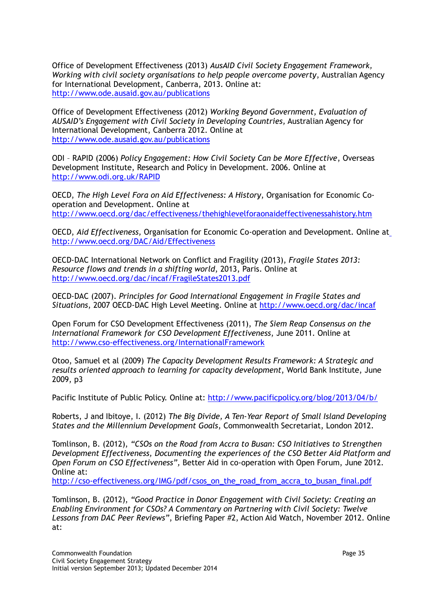Office of Development Effectiveness (2013) *AusAID Civil Society Engagement Framework, Working with civil society organisations to help people overcome poverty*, Australian Agency for International Development, Canberra, 2013. Online at: http://www.ode.ausaid.gov.au/publications

Office of Development Effectiveness (2012) *Working Beyond Government, Evaluation of AUSAID's Engagement with Civil Society in Developing Countries,* Australian Agency for International Development, Canberra 2012. Online at <http://www.ode.ausaid.gov.au/publications>

ODI – RAPID (2006) *Policy Engagement: How Civil Society Can be More Effective*, Overseas Development Institute, Research and Policy in Development. 2006. Online at <http://www.odi.org.uk/RAPID>

OECD, *The High Level Fora on Aid Effectiveness: A History*, Organisation for Economic Cooperation and Development. Online at http://www.oecd.org/dac/effectiveness/thehighlevelforaonaideffectivenessahistory.htm

OECD, *Aid Effectiveness,* Organisation for Economic Co-operation and Development*.* Online at http://www.oecd.org/DAC/Aid/Effectiveness

OECD-DAC International Network on Conflict and Fragility (2013), *Fragile States 2013: Resource flows and trends in a shifting world*, 2013, Paris. Online at <http://www.oecd.org/dac/incaf/FragileStates2013.pdf>

OECD-DAC (2007). *Principles for Good International Engagement in Fragile States and Situations*, 2007 OECD-DAC High Level Meeting. Online at http://www.oecd.org/dac/incaf

Open Forum for CSO Development Effectiveness (2011), *The Siem Reap Consensus on the International Framework for CSO Development Effectiveness*, June 2011. Online at [http://www.cso-effectiveness.org/InternationalFramework](http://www.cso-effectivenes.org/InternationalFramework)

Otoo, Samuel et al (2009) *The Capacity Development Results Framework: A Strategic and results oriented approach to learning for capacity development*, World Bank Institute, June 2009, p3

Pacific Institute of Public Policy. Online at: <http://www.pacificpolicy.org/blog/2013/04/b/>

Roberts, J and Ibitoye, I. (2012) *The Big Divide, A Ten-Year Report of Small Island Developing States and the Millennium Development Goals*, Commonwealth Secretariat, London 2012.

Tomlinson, B. (2012), *"CSOs on the Road from Accra to Busan: CSO Initiatives to Strengthen Development Effectiveness, Documenting the experiences of the CSO Better Aid Platform and Open Forum on CSO Effectiveness",* Better Aid in co-operation with Open Forum, June 2012. Online at:

http://cso-effectiveness.org/IMG/pdf/csos\_on\_the\_road\_from\_accra\_to\_busan\_final.pdf

Tomlinson, B. (2012), *"Good Practice in Donor Engagement with Civil Society: Creating an Enabling Environment for CSOs? A Commentary on Partnering with Civil Society: Twelve Lessons from DAC Peer Reviews"*, Briefing Paper #2, Action Aid Watch, November 2012. Online at: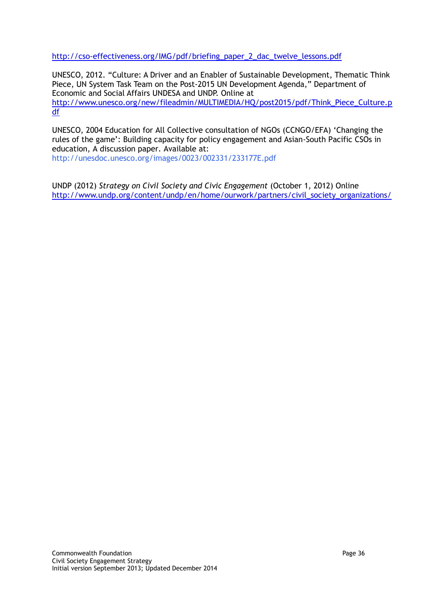http://cso-effectiveness.org/IMG/pdf/briefing\_paper\_2\_dac\_twelve\_lessons.pdf

UNESCO, 2012. "Culture: A Driver and an Enabler of Sustainable Development, Thematic Think Piece, UN System Task Team on the Post-2015 UN Development Agenda," Department of Economic and Social Affairs UNDESA and UNDP. Online at http://www.unesco.org/new/fileadmin/MULTIMEDIA/HQ/post2015/pdf/Think\_Piece\_Culture.p df

UNESCO, 2004 Education for All Collective consultation of NGOs (CCNGO/EFA) 'Changing the rules of the game': Building capacity for policy engagement and Asian-South Pacific CSOs in education, A discussion paper. Available at:

http://unesdoc.unesco.org/images/0023/002331/233177E.pdf

UNDP (2012) *Strategy on Civil Society and Civic Engagement* (October 1, 2012) Online http://www.undp.org/content/undp/en/home/ourwork/partners/civil\_society\_organizations/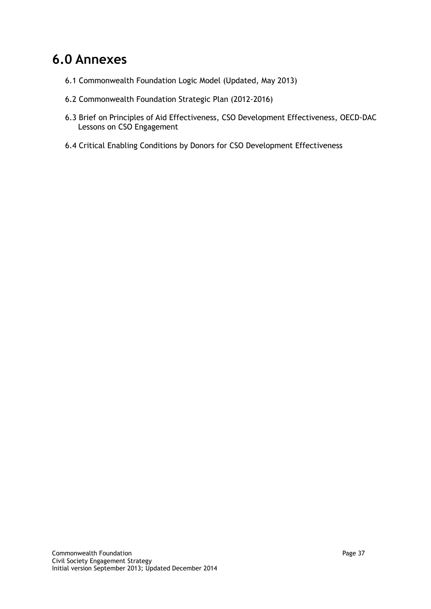## **6.0 Annexes**

- 6.1 Commonwealth Foundation Logic Model (Updated, May 2013)
- 6.2 Commonwealth Foundation Strategic Plan (2012-2016)
- 6.3 Brief on Principles of Aid Effectiveness, CSO Development Effectiveness, OECD-DAC Lessons on CSO Engagement
- 6.4 Critical Enabling Conditions by Donors for CSO Development Effectiveness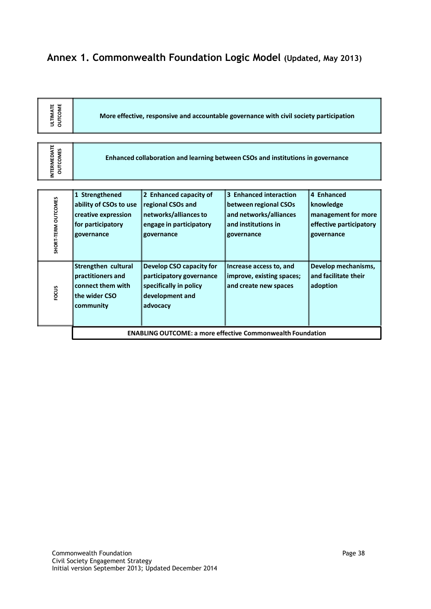## **Annex 1. Commonwealth Foundation Logic Model (Updated, May 2013)**

| <b>OUTCOME</b><br><b>ULTIMATE</b>      | More effective, responsive and accountable governance with civil society participation             |                                                                                                               |                                                                                                                |                                                                                         |  |
|----------------------------------------|----------------------------------------------------------------------------------------------------|---------------------------------------------------------------------------------------------------------------|----------------------------------------------------------------------------------------------------------------|-----------------------------------------------------------------------------------------|--|
| <b>INTERMEDIATE</b><br><b>OUTCOMES</b> | Enhanced collaboration and learning between CSOs and institutions in governance                    |                                                                                                               |                                                                                                                |                                                                                         |  |
| SHORT-TERM OUTCOMES                    | 1 Strengthened<br>ability of CSOs to use<br>creative expression<br>for participatory<br>governance | 2 Enhanced capacity of<br>regional CSOs and<br>networks/alliances to<br>engage in participatory<br>governance | 3 Enhanced interaction<br>between regional CSOs<br>and networks/alliances<br>and institutions in<br>governance | 4 Enhanced<br>knowledge<br>management for more<br>effective participatory<br>governance |  |
| FOCUS                                  | Strengthen cultural<br>practitioners and<br>connect them with<br>the wider CSO<br>community        | Develop CSO capacity for<br>participatory governance<br>specifically in policy<br>development and<br>advocacy | Increase access to, and<br>improve, existing spaces;<br>and create new spaces                                  | Develop mechanisms,<br>and facilitate their<br>adoption                                 |  |
|                                        | <b>ENABLING OUTCOME: a more effective Commonwealth Foundation</b>                                  |                                                                                                               |                                                                                                                |                                                                                         |  |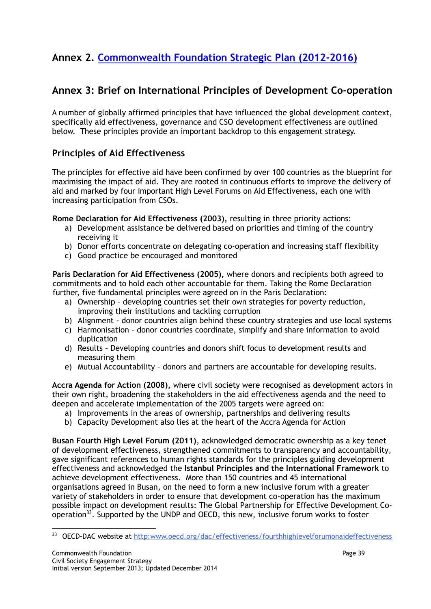## **Annex 2. [Commonwealth Foundation Strategic Plan \(2012-2016\)](http://www.commonwealthfoundation.com/2012-201617-strategic-plan)**

### **Annex 3: Brief on International Principles of Development Co-operation**

A number of globally affirmed principles that have influenced the global development context, specifically aid effectiveness, governance and CSO development effectiveness are outlined below. These principles provide an important backdrop to this engagement strategy.

#### **Principles of Aid Effectiveness**

The principles for effective aid have been confirmed by over 100 countries as the blueprint for maximising the impact of aid. They are rooted in continuous efforts to improve the delivery of aid and marked by four important High Level Forums on Aid Effectiveness, each one with increasing participation from CSOs.

**Rome Declaration for Aid Effectiveness (2003),** resulting in three priority actions:

- a) Development assistance be delivered based on priorities and timing of the country receiving it
- b) Donor efforts concentrate on delegating co-operation and increasing staff flexibility
- c) Good practice be encouraged and monitored

**Paris Declaration for Aid Effectiveness (2005),** where donors and recipients both agreed to commitments and to hold each other accountable for them. Taking the Rome Declaration further, five fundamental principles were agreed on in the Paris Declaration:

- a) Ownership developing countries set their own strategies for poverty reduction, improving their institutions and tackling corruption
- b) Alignment donor countries align behind these country strategies and use local systems
- c) Harmonisation donor countries coordinate, simplify and share information to avoid duplication
- d) Results Developing countries and donors shift focus to development results and measuring them
- e) Mutual Accountability donors and partners are accountable for developing results.

**Accra Agenda for Action (2008),** where civil society were recognised as development actors in their own right, broadening the stakeholders in the aid effectiveness agenda and the need to deepen and accelerate implementation of the 2005 targets were agreed on:

- a) Improvements in the areas of ownership, partnerships and delivering results
- b) Capacity Development also lies at the heart of the Accra Agenda for Action

**Busan Fourth High Level Forum (2011)**, acknowledged democratic ownership as a key tenet of development effectiveness, strengthened commitments to transparency and accountability, gave significant references to human rights standards for the principles guiding development effectiveness and acknowledged the **Istanbul Principles and the International Framework** to achieve development effectiveness. More than 150 countries and 45 international organisations agreed in Busan, on the need to form a new inclusive forum with a greater variety of stakeholders in order to ensure that development co-operation has the maximum possible impact on development results: The Global Partnership for Effective Development Cooperation<sup>33</sup>. Supported by the UNDP and OECD, this new, inclusive forum works to foster

 $\overline{\phantom{a}}$ 33 OECD-DAC website at http:www.oecd.org/dac/effectiveness/fourthhighlevelforumonaideffectiveness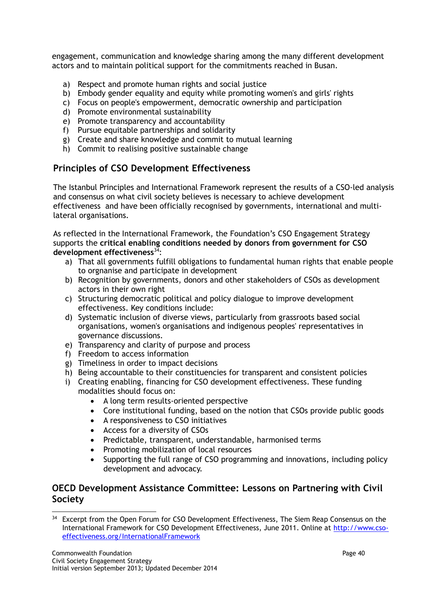engagement, communication and knowledge sharing among the many different development actors and to maintain political support for the commitments reached in Busan.

- a) Respect and promote human rights and social justice
- b) Embody gender equality and equity while promoting women's and girls' rights
- c) Focus on people's empowerment, democratic ownership and participation
- d) Promote environmental sustainability
- e) Promote transparency and accountability
- f) Pursue equitable partnerships and solidarity
- g) Create and share knowledge and commit to mutual learning
- h) Commit to realising positive sustainable change

#### **Principles of CSO Development Effectiveness**

The Istanbul Principles and International Framework represent the results of a CSO-led analysis and consensus on what civil society believes is necessary to achieve development effectiveness and have been officially recognised by governments, international and multilateral organisations.

As reflected in the International Framework, the Foundation's CSO Engagement Strategy supports the **critical enabling conditions needed by donors from government for CSO development effectiveness**<sup>34</sup>:

- a) That all governments fulfill obligations to fundamental human rights that enable people to orgnanise and participate in development
- b) Recognition by governments, donors and other stakeholders of CSOs as development actors in their own right
- c) Structuring democratic political and policy dialogue to improve development effectiveness. Key conditions include:
- d) Systematic inclusion of diverse views, particularly from grassroots based social organisations, women's organisations and indigenous peoples' representatives in governance discussions.
- e) Transparency and clarity of purpose and process
- f) Freedom to access information
- g) Timeliness in order to impact decisions
- h) Being accountable to their constituencies for transparent and consistent policies
- i) Creating enabling, financing for CSO development effectiveness. These funding modalities should focus on:
	- A long term results-oriented perspective
	- Core institutional funding, based on the notion that CSOs provide public goods
	- A responsiveness to CSO initiatives
	- Access for a diversity of CSOs
	- Predictable, transparent, understandable, harmonised terms
	- Promoting mobilization of local resources
	- Supporting the full range of CSO programming and innovations, including policy development and advocacy.

#### **OECD Development Assistance Committee: Lessons on Partnering with Civil Society**

l <sup>34</sup> Excerpt from the Open Forum for CSO Development Effectiveness, The Siem Reap Consensus on the International Framework for CSO Development Effectiveness, June 2011. Online at [http://www.cso](http://www.cso-effectivenes.org/InternationalFramework)[effectiveness.org/InternationalFramework](http://www.cso-effectivenes.org/InternationalFramework)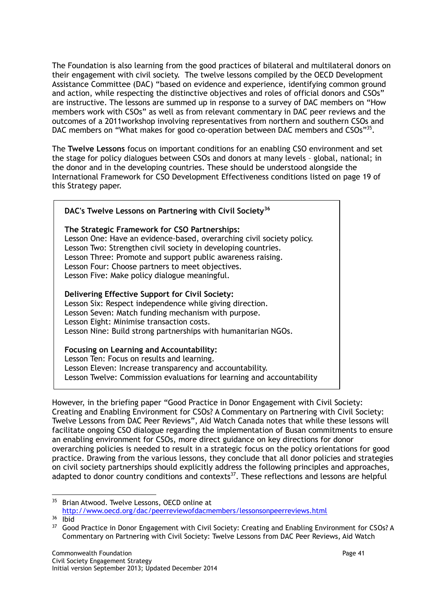The Foundation is also learning from the good practices of bilateral and multilateral donors on their engagement with civil society. The twelve lessons compiled by the OECD Development Assistance Committee (DAC) "based on evidence and experience, identifying common ground and action, while respecting the distinctive objectives and roles of official donors and CSOs" are instructive. The lessons are summed up in response to a survey of DAC members on "How members work with CSOs" as well as from relevant commentary in DAC peer reviews and the outcomes of a 2011workshop involving representatives from northern and southern CSOs and DAC members on "What makes for good co-operation between DAC members and CSOs"<sup>35</sup>.

The **Twelve Lessons** focus on important conditions for an enabling CSO environment and set the stage for policy dialogues between CSOs and donors at many levels – global, national; in the donor and in the developing countries. These should be understood alongside the International Framework for CSO Development Effectiveness conditions listed on page 19 of this Strategy paper.

| DAC's Twelve Lessons on Partnering with Civil Society <sup>36</sup>                                                                                                                                                                                                                                                                                         |
|-------------------------------------------------------------------------------------------------------------------------------------------------------------------------------------------------------------------------------------------------------------------------------------------------------------------------------------------------------------|
| The Strategic Framework for CSO Partnerships:<br>Lesson One: Have an evidence-based, overarching civil society policy.<br>Lesson Two: Strengthen civil society in developing countries.<br>Lesson Three: Promote and support public awareness raising.<br>Lesson Four: Choose partners to meet objectives.<br>Lesson Five: Make policy dialogue meaningful. |
| Delivering Effective Support for Civil Society:<br>Lesson Six: Respect independence while giving direction.<br>Lesson Seven: Match funding mechanism with purpose.<br>Lesson Eight: Minimise transaction costs.<br>Lesson Nine: Build strong partnerships with humanitarian NGOs.                                                                           |
| Focusing on Learning and Accountability:<br>Lesson Ten: Focus on results and learning.<br>Lesson Eleven: Increase transparency and accountability.                                                                                                                                                                                                          |

Lesson Twelve: Commission evaluations for learning and accountability

However, in the briefing paper "Good Practice in Donor Engagement with Civil Society: Creating and Enabling Environment for CSOs? A Commentary on Partnering with Civil Society: Twelve Lessons from DAC Peer Reviews", Aid Watch Canada notes that while these lessons will facilitate ongoing CSO dialogue regarding the implementation of Busan commitments to ensure an enabling environment for CSOs, more direct guidance on key directions for donor overarching policies is needed to result in a strategic focus on the policy orientations for good practice. Drawing from the various lessons, they conclude that all donor policies and strategies on civil society partnerships should explicitly address the following principles and approaches, adapted to donor country conditions and contexts $37$ . These reflections and lessons are helpful

l <sup>35</sup> Brian Atwood. Twelve Lessons, OECD online at <http://www.oecd.org/dac/peerreviewofdacmembers/lessonsonpeerreviews.html>

<sup>36</sup> Ibid

<sup>&</sup>lt;sup>37</sup> Good Practice in Donor Engagement with Civil Society: Creating and Enabling Environment for CSOs? A Commentary on Partnering with Civil Society: Twelve Lessons from DAC Peer Reviews, Aid Watch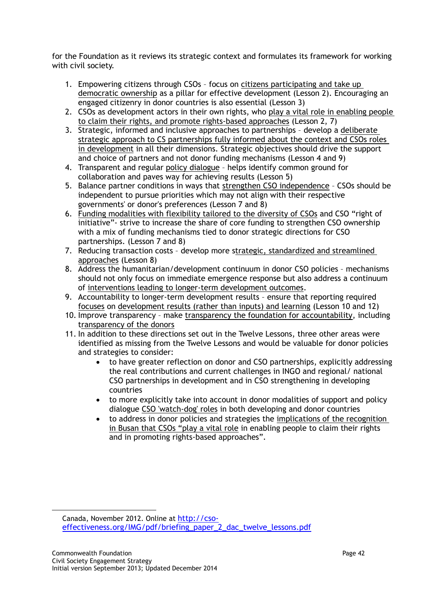for the Foundation as it reviews its strategic context and formulates its framework for working with civil society.

- 1. Empowering citizens through CSOs focus on citizens participating and take up democratic ownership as a pillar for effective development (Lesson 2). Encouraging an engaged citizenry in donor countries is also essential (Lesson 3)
- 2. CSOs as development actors in their own rights, who play a vital role in enabling people to claim their rights, and promote rights-based approaches (Lesson 2, 7)
- 3. Strategic, informed and inclusive approaches to partnerships develop a deliberate strategic approach to CS partnerships fully informed about the context and CSOs roles in development in all their dimensions. Strategic objectives should drive the support and choice of partners and not donor funding mechanisms (Lesson 4 and 9)
- 4. Transparent and regular policy dialogue helps identify common ground for collaboration and paves way for achieving results (Lesson 5)
- 5. Balance partner conditions in ways that strengthen CSO independence CSOs should be independent to pursue priorities which may not align with their respective governments' or donor's preferences (Lesson 7 and 8)
- 6. Funding modalities with flexibility tailored to the diversity of CSOs and CSO "right of initiative"- strive to increase the share of core funding to strengthen CSO ownership with a mix of funding mechanisms tied to donor strategic directions for CSO partnerships. (Lesson 7 and 8)
- 7. Reducing transaction costs develop more strategic, standardized and streamlined approaches (Lesson 8)
- 8. Address the humanitarian/development continuum in donor CSO policies mechanisms should not only focus on immediate emergence response but also address a continuum of interventions leading to longer-term development outcomes.
- 9. Accountability to longer-term development results ensure that reporting required focuses on development results (rather than inputs) and learning (Lesson 10 and 12)
- 10. Improve transparency make transparency the foundation for accountability, including transparency of the donors
- 11. In addition to these directions set out in the Twelve Lessons, three other areas were identified as missing from the Twelve Lessons and would be valuable for donor policies and strategies to consider:
	- to have greater reflection on donor and CSO partnerships, explicitly addressing the real contributions and current challenges in INGO and regional/ national CSO partnerships in development and in CSO strengthening in developing countries
	- to more explicitly take into account in donor modalities of support and policy dialogue CSO 'watch-dog' roles in both developing and donor countries
	- to address in donor policies and strategies the implications of the recognition in Busan that CSOs "play a vital role in enabling people to claim their rights and in promoting rights-based approaches".

l

Canada, November 2012. Online at http://csoeffectiveness.org/IMG/pdf/briefing\_paper\_2\_dac\_twelve\_lessons.pdf